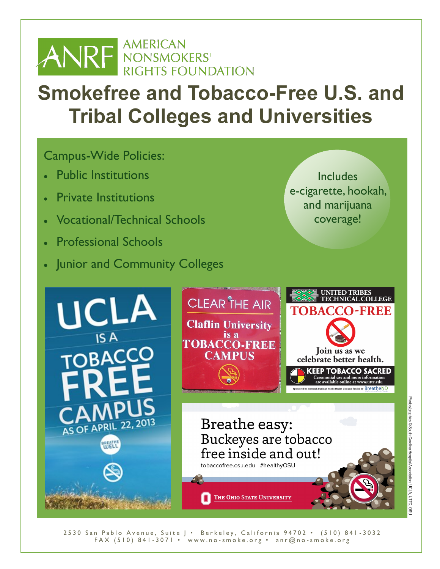

# **Smokefree and Tobacco-Free U.S. and Tribal Colleges and Universities**

## Campus-Wide Policies:

- Public Institutions
- Private Institutions
- Vocational/Technical Schools
- Professional Schools
- **Junior and Community Colleges**

Includes e-cigarette, hookah, and marijuana coverage!



2530 San Pablo Avenue, Suite J · Berkeley, California 94702 · (510) 841-3032 FAX (510) 841-3071 • www.no-smoke.org • anr@no-smoke.org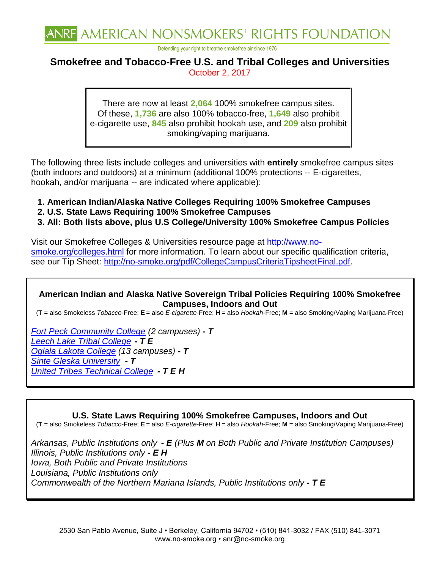

Defending your right to breathe smokefree air since 1976

### **Smokefree and Tobacco-Free U.S. and Tribal Colleges and Universities**  October 2, 2017

There are now at least **2,064** 100% smokefree campus sites. Of these, **1,736** are also 100% tobacco-free, **1,649** also prohibit e-cigarette use, **845** also prohibit hookah use, and **209** also prohibit smoking/vaping marijuana.

The following three lists include colleges and universities with **entirely** smokefree campus sites (both indoors and outdoors) at a minimum (additional 100% protections -- E-cigarettes, hookah, and/or marijuana -- are indicated where applicable):

- **1. American Indian/Alaska Native Colleges Requiring 100% Smokefree Campuses**
- **2. U.S. State Laws Requiring 100% Smokefree Campuses**
- **3. All: Both lists above, plus U.S College/University 100% Smokefree Campus Policies**

Visit our Smokefree Colleges & Universities resource page at [http://www.no](http://www.no-smoke.org/colleges.html)[smoke.org/colleges.html](http://www.no-smoke.org/colleges.html) for more information. To learn about our specific qualification criteria, see our Tip Sheet: [http://no-smoke.org/pdf/CollegeCampusCriteriaTipsheetFinal.pdf.](http://no-smoke.org/pdf/CollegeCampusCriteriaTipsheetFinal.pdf)

#### **American Indian and Alaska Native Sovereign Tribal Policies Requiring 100% Smokefree Campuses, Indoors and Out**

(**T** = also Smokeless *Tobacco*-Free; **E** = also *E-cigarette*-Free; **H** = also *Hookah*-Free; **M** = also Smoking/Vaping Marijuana-Free)

*[Fort Peck Community College](http://www.fpcc.edu/pdf/Tobacco%20Free%20Campus.pdf) (2 campuses) - T [Leech Lake Tribal College](http://www.lltc.edu/_assets/docs/catalog/LLTC%20Catalog%202015-17%204.11.17.pdf) - T E [Oglala Lakota College](http://www.olc.edu/~cdelong/ppm/52-100.pdf) (13 campuses) - T [Sinte Gleska University](http://www.sintegleska.edu/uploads/1/1/3/8/11384118/student_handbook.pdf) - T [United Tribes Technical College](http://www.uttc.edu/sites/default/files/docs/handbook_2015_2016.pdf) - T E H*

#### **U.S. State Laws Requiring 100% Smokefree Campuses, Indoors and Out**

(**T** = also Smokeless *Tobacco*-Free; **E** = also *E-cigarette*-Free; **H** = also *Hookah*-Free; **M** = also Smoking/Vaping Marijuana-Free)

*Arkansas, Public Institutions only - E (Plus M on Both Public and Private Institution Campuses) Illinois, Public Institutions only - E H Iowa, Both Public and Private Institutions Louisiana, Public Institutions only Commonwealth of the Northern Mariana Islands, Public Institutions only - T E*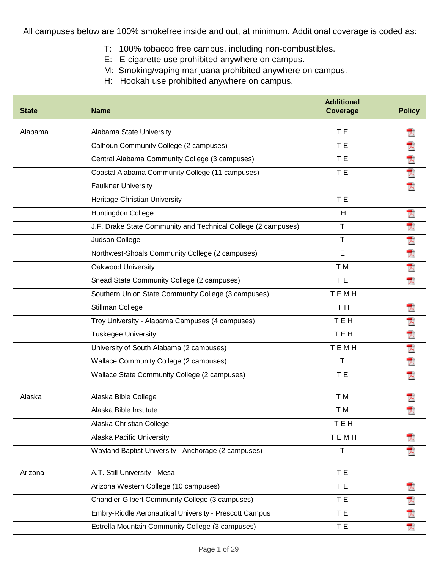All campuses below are 100% smokefree inside and out, at minimum. Additional coverage is coded as:

- T: 100% tobacco free campus, including non-combustibles.
- E: E-cigarette use prohibited anywhere on campus.
- M: Smoking/vaping marijuana prohibited anywhere on campus.
- H: Hookah use prohibited anywhere on campus.

| <b>State</b> | <b>Name</b>                                                   | <b>Additional</b><br><b>Coverage</b> | <b>Policy</b> |
|--------------|---------------------------------------------------------------|--------------------------------------|---------------|
| Alabama      | Alabama State University                                      | T E                                  |               |
|              | Calhoun Community College (2 campuses)                        | T E                                  | 人             |
|              | Central Alabama Community College (3 campuses)                | T E                                  |               |
|              | Coastal Alabama Community College (11 campuses)               | T E                                  | 大大大           |
|              | <b>Faulkner University</b>                                    |                                      |               |
|              | Heritage Christian University                                 | T E                                  |               |
|              | Huntingdon College                                            | H                                    | ᄎ             |
|              | J.F. Drake State Community and Technical College (2 campuses) | Τ                                    | 犬             |
|              | Judson College                                                | $\mathsf{T}$                         |               |
|              | Northwest-Shoals Community College (2 campuses)               | E                                    | 大大大           |
|              | Oakwood University                                            | T M                                  |               |
|              | Snead State Community College (2 campuses)                    | T E                                  | 쿳             |
|              | Southern Union State Community College (3 campuses)           | TEMH                                 |               |
|              | Stillman College                                              | T <sub>H</sub>                       | 굿             |
|              | Troy University - Alabama Campuses (4 campuses)               | TEH                                  | 人             |
|              | <b>Tuskegee University</b>                                    | <b>TEH</b>                           | 大大大           |
|              | University of South Alabama (2 campuses)                      | TEMH                                 |               |
|              | Wallace Community College (2 campuses)                        | T                                    |               |
|              | Wallace State Community College (2 campuses)                  | T E                                  | 쿳             |
| Alaska       | Alaska Bible College                                          | T M                                  |               |
|              | Alaska Bible Institute                                        | T M                                  |               |
|              | Alaska Christian College                                      | TEH                                  |               |
|              | Alaska Pacific University                                     | <b>TEMH</b>                          |               |
|              | Wayland Baptist University - Anchorage (2 campuses)           | $\mathsf T$                          |               |
| Arizona      | A.T. Still University - Mesa                                  | T E                                  |               |
|              | Arizona Western College (10 campuses)                         | T E                                  |               |
|              | Chandler-Gilbert Community College (3 campuses)               | T E                                  |               |
|              | Embry-Riddle Aeronautical University - Prescott Campus        | T E                                  | 大大大           |
|              | Estrella Mountain Community College (3 campuses)              | T E                                  |               |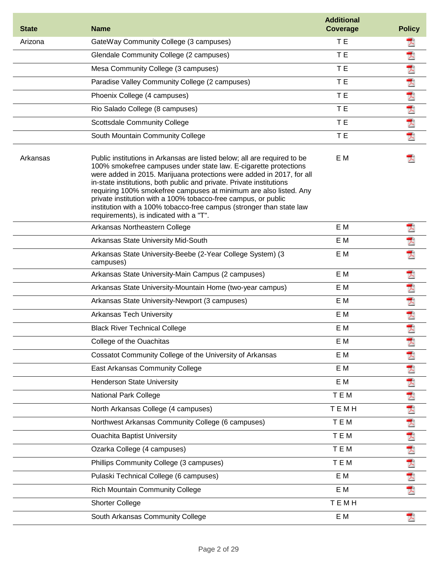| <b>State</b> | <b>Name</b>                                                                                                                                                                                                                                                                                                                                                                                                                                                                                                                                             | <b>Additional</b><br><b>Coverage</b> | <b>Policy</b> |
|--------------|---------------------------------------------------------------------------------------------------------------------------------------------------------------------------------------------------------------------------------------------------------------------------------------------------------------------------------------------------------------------------------------------------------------------------------------------------------------------------------------------------------------------------------------------------------|--------------------------------------|---------------|
| Arizona      | GateWay Community College (3 campuses)                                                                                                                                                                                                                                                                                                                                                                                                                                                                                                                  | T E                                  | ᄎ             |
|              | Glendale Community College (2 campuses)                                                                                                                                                                                                                                                                                                                                                                                                                                                                                                                 | T E                                  | 人             |
|              | Mesa Community College (3 campuses)                                                                                                                                                                                                                                                                                                                                                                                                                                                                                                                     | T E                                  |               |
|              | Paradise Valley Community College (2 campuses)                                                                                                                                                                                                                                                                                                                                                                                                                                                                                                          | T E                                  | 大大大大          |
|              | Phoenix College (4 campuses)                                                                                                                                                                                                                                                                                                                                                                                                                                                                                                                            | T E                                  |               |
|              | Rio Salado College (8 campuses)                                                                                                                                                                                                                                                                                                                                                                                                                                                                                                                         | T E                                  |               |
|              | <b>Scottsdale Community College</b>                                                                                                                                                                                                                                                                                                                                                                                                                                                                                                                     | T E                                  | 大             |
|              | South Mountain Community College                                                                                                                                                                                                                                                                                                                                                                                                                                                                                                                        | T E                                  | 凤             |
| Arkansas     | Public institutions in Arkansas are listed below; all are required to be<br>100% smokefree campuses under state law. E-cigarette protections<br>were added in 2015. Marijuana protections were added in 2017, for all<br>in-state institutions, both public and private. Private institutions<br>requiring 100% smokefree campuses at minimum are also listed. Any<br>private institution with a 100% tobacco-free campus, or public<br>institution with a 100% tobacco-free campus (stronger than state law<br>requirements), is indicated with a "T". | E M                                  |               |
|              | Arkansas Northeastern College                                                                                                                                                                                                                                                                                                                                                                                                                                                                                                                           | E M                                  | 겨             |
|              | Arkansas State University Mid-South                                                                                                                                                                                                                                                                                                                                                                                                                                                                                                                     | E M                                  | Ā             |
|              | Arkansas State University-Beebe (2-Year College System) (3<br>campuses)                                                                                                                                                                                                                                                                                                                                                                                                                                                                                 | E M                                  | 굿             |
|              | Arkansas State University-Main Campus (2 campuses)                                                                                                                                                                                                                                                                                                                                                                                                                                                                                                      | E M                                  | Ā             |
|              | Arkansas State University-Mountain Home (two-year campus)                                                                                                                                                                                                                                                                                                                                                                                                                                                                                               | E M                                  | 医大犬犬          |
|              | Arkansas State University-Newport (3 campuses)                                                                                                                                                                                                                                                                                                                                                                                                                                                                                                          | E M                                  |               |
|              | <b>Arkansas Tech University</b>                                                                                                                                                                                                                                                                                                                                                                                                                                                                                                                         | E M                                  |               |
|              | <b>Black River Technical College</b>                                                                                                                                                                                                                                                                                                                                                                                                                                                                                                                    | E M                                  |               |
|              | College of the Ouachitas                                                                                                                                                                                                                                                                                                                                                                                                                                                                                                                                | E M                                  |               |
|              | Cossatot Community College of the University of Arkansas                                                                                                                                                                                                                                                                                                                                                                                                                                                                                                | E M                                  | 겨             |
|              | East Arkansas Community College                                                                                                                                                                                                                                                                                                                                                                                                                                                                                                                         | E M                                  | 大大大           |
|              | <b>Henderson State University</b>                                                                                                                                                                                                                                                                                                                                                                                                                                                                                                                       | E M                                  |               |
|              | National Park College                                                                                                                                                                                                                                                                                                                                                                                                                                                                                                                                   | <b>TEM</b>                           |               |
|              | North Arkansas College (4 campuses)                                                                                                                                                                                                                                                                                                                                                                                                                                                                                                                     | TEMH                                 |               |
|              | Northwest Arkansas Community College (6 campuses)                                                                                                                                                                                                                                                                                                                                                                                                                                                                                                       | <b>TEM</b>                           |               |
|              | <b>Ouachita Baptist University</b>                                                                                                                                                                                                                                                                                                                                                                                                                                                                                                                      | <b>TEM</b>                           |               |
|              | Ozarka College (4 campuses)                                                                                                                                                                                                                                                                                                                                                                                                                                                                                                                             | <b>TEM</b>                           |               |
|              | Phillips Community College (3 campuses)                                                                                                                                                                                                                                                                                                                                                                                                                                                                                                                 | TEM                                  | 大犬犬犬犬犬        |
|              | Pulaski Technical College (6 campuses)                                                                                                                                                                                                                                                                                                                                                                                                                                                                                                                  | E M                                  |               |
|              | <b>Rich Mountain Community College</b>                                                                                                                                                                                                                                                                                                                                                                                                                                                                                                                  | E M                                  | 겨             |
|              | <b>Shorter College</b>                                                                                                                                                                                                                                                                                                                                                                                                                                                                                                                                  | TEMH                                 |               |
|              | South Arkansas Community College                                                                                                                                                                                                                                                                                                                                                                                                                                                                                                                        | E M                                  |               |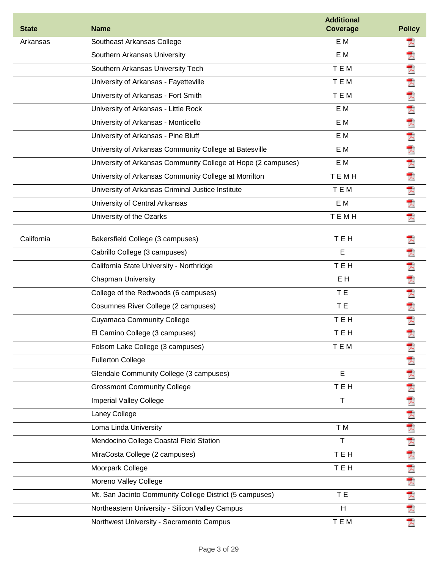| <b>State</b> | <b>Name</b>                                                   | <b>Additional</b><br><b>Coverage</b> | <b>Policy</b>        |
|--------------|---------------------------------------------------------------|--------------------------------------|----------------------|
| Arkansas     | Southeast Arkansas College                                    | E M                                  | 人                    |
|              | Southern Arkansas University                                  | E M                                  | 굿                    |
|              | Southern Arkansas University Tech                             | TEM                                  | 犬                    |
|              | University of Arkansas - Fayetteville                         | TEM                                  | $\overline{\lambda}$ |
|              | University of Arkansas - Fort Smith                           | TEM                                  | 犬                    |
|              | University of Arkansas - Little Rock                          | E M                                  | 犬                    |
|              | University of Arkansas - Monticello                           | E M                                  | 大                    |
|              | University of Arkansas - Pine Bluff                           | E M                                  | 犬                    |
|              | University of Arkansas Community College at Batesville        | E M                                  | 犬                    |
|              | University of Arkansas Community College at Hope (2 campuses) | E M                                  |                      |
|              | University of Arkansas Community College at Morrilton         | <b>TEMH</b>                          |                      |
|              | University of Arkansas Criminal Justice Institute             | TEM                                  | 人名人人                 |
|              | University of Central Arkansas                                | E M                                  |                      |
|              | University of the Ozarks                                      | TEMH                                 | 凤                    |
| California   | Bakersfield College (3 campuses)                              | TEH                                  | 츠                    |
|              | Cabrillo College (3 campuses)                                 | E                                    | 퀏                    |
|              | California State University - Northridge                      | <b>TEH</b>                           | 犬                    |
|              | <b>Chapman University</b>                                     | EH                                   | 犬                    |
|              | College of the Redwoods (6 campuses)                          | T E                                  | 夭                    |
|              | Cosumnes River College (2 campuses)                           | T E                                  | 犬                    |
|              | <b>Cuyamaca Community College</b>                             | TEH                                  | 쿳                    |
|              | El Camino College (3 campuses)                                | TEH                                  | À                    |
|              | Folsom Lake College (3 campuses)                              | TEM                                  | 犬                    |
|              | <b>Fullerton College</b>                                      |                                      | 7)                   |
|              | Glendale Community College (3 campuses)                       | E                                    | 人                    |
|              | <b>Grossmont Community College</b>                            | <b>TEH</b>                           | 入                    |
|              | <b>Imperial Valley College</b>                                | $\mathsf{T}$                         |                      |
|              | Laney College                                                 |                                      |                      |
|              | Loma Linda University                                         | T M                                  |                      |
|              | Mendocino College Coastal Field Station                       | T                                    |                      |
|              | MiraCosta College (2 campuses)                                | TEH                                  |                      |
|              | Moorpark College                                              | TEH                                  | 医内内内内内内内内            |
|              | Moreno Valley College                                         |                                      |                      |
|              | Mt. San Jacinto Community College District (5 campuses)       | T E                                  |                      |
|              | Northeastern University - Silicon Valley Campus               | H                                    |                      |
|              | Northwest University - Sacramento Campus                      | TEM                                  |                      |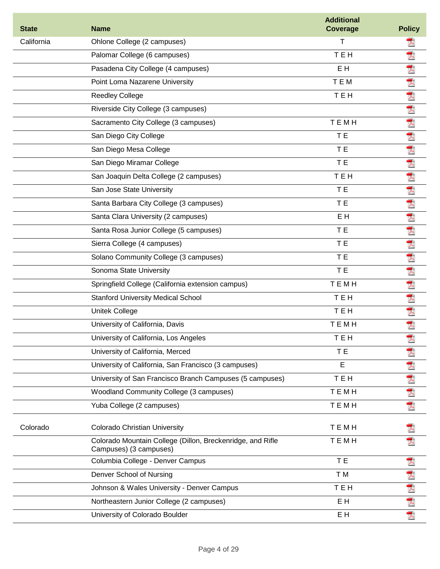| <b>State</b> | <b>Name</b>                                                                          | <b>Additional</b><br><b>Coverage</b> | <b>Policy</b> |
|--------------|--------------------------------------------------------------------------------------|--------------------------------------|---------------|
| California   | Ohlone College (2 campuses)                                                          | T                                    | ᄎ             |
|              | Palomar College (6 campuses)                                                         | <b>TEH</b>                           | 犬             |
|              | Pasadena City College (4 campuses)                                                   | EH                                   | 犬             |
|              | Point Loma Nazarene University                                                       | TEM                                  |               |
|              | <b>Reedley College</b>                                                               | <b>TEH</b>                           | 人名达达达克        |
|              | Riverside City College (3 campuses)                                                  |                                      |               |
|              | Sacramento City College (3 campuses)                                                 | TEMH                                 |               |
|              | San Diego City College                                                               | T E                                  |               |
|              | San Diego Mesa College                                                               | T E                                  |               |
|              | San Diego Miramar College                                                            | T E                                  | 犬             |
|              | San Joaquin Delta College (2 campuses)                                               | <b>TEH</b>                           | 人             |
|              | San Jose State University                                                            | T E                                  |               |
|              | Santa Barbara City College (3 campuses)                                              | T <sub>E</sub>                       |               |
|              | Santa Clara University (2 campuses)                                                  | E H                                  | 因为人人人人        |
|              | Santa Rosa Junior College (5 campuses)                                               | T E                                  |               |
|              | Sierra College (4 campuses)                                                          | T E                                  |               |
|              | Solano Community College (3 campuses)                                                | T E                                  | 犬             |
|              | Sonoma State University                                                              | T <sub>E</sub>                       | 犬             |
|              | Springfield College (California extension campus)                                    | <b>TEMH</b>                          | Ā             |
|              | <b>Stanford University Medical School</b>                                            | TEH                                  | 凤             |
|              | <b>Unitek College</b>                                                                | <b>TEH</b>                           | 大             |
|              | University of California, Davis                                                      | TEMH                                 | 犬             |
|              | University of California, Los Angeles                                                | тен                                  | Ā             |
|              | University of California, Merced                                                     | T E                                  |               |
|              | University of California, San Francisco (3 campuses)                                 | E                                    | 人             |
|              | University of San Francisco Branch Campuses (5 campuses)                             | TEH                                  | 人             |
|              | Woodland Community College (3 campuses)                                              | TEMH                                 | 犬             |
|              | Yuba College (2 campuses)                                                            | TEMH                                 | 页             |
| Colorado     | <b>Colorado Christian University</b>                                                 | TEMH                                 |               |
|              | Colorado Mountain College (Dillon, Breckenridge, and Rifle<br>Campuses) (3 campuses) | TEMH                                 |               |
|              | Columbia College - Denver Campus                                                     | T E                                  | 굿             |
|              | Denver School of Nursing                                                             | T M                                  | Ť.            |
|              | Johnson & Wales University - Denver Campus                                           | TEH                                  | 大             |
|              | Northeastern Junior College (2 campuses)                                             | E H                                  | 퀏             |
|              | University of Colorado Boulder                                                       | E H                                  | 쿳             |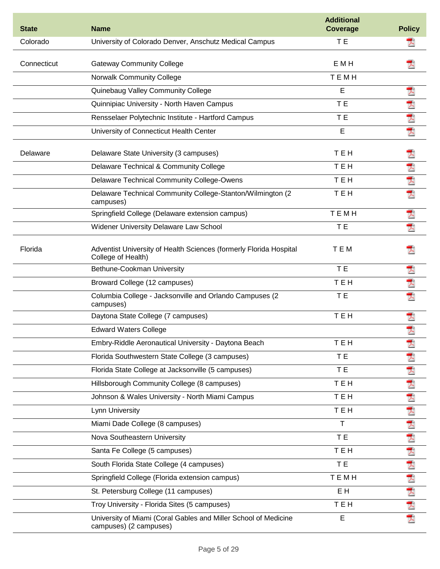| <b>State</b> | <b>Name</b>                                                                               | <b>Additional</b><br><b>Coverage</b> | <b>Policy</b> |
|--------------|-------------------------------------------------------------------------------------------|--------------------------------------|---------------|
| Colorado     | University of Colorado Denver, Anschutz Medical Campus                                    | T E                                  |               |
| Connecticut  | <b>Gateway Community College</b>                                                          | <b>EMH</b>                           |               |
|              | <b>Norwalk Community College</b>                                                          | TEMH                                 |               |
|              | Quinebaug Valley Community College                                                        | E                                    | 겨             |
|              | Quinnipiac University - North Haven Campus                                                | T E                                  | 人             |
|              | Rensselaer Polytechnic Institute - Hartford Campus                                        | T E                                  | 大             |
|              | University of Connecticut Health Center                                                   | E                                    | 쿳             |
| Delaware     | Delaware State University (3 campuses)                                                    | TEH                                  | 츠             |
|              | Delaware Technical & Community College                                                    | <b>TEH</b>                           | 大             |
|              | Delaware Technical Community College-Owens                                                | <b>TEH</b>                           | 大             |
|              | Delaware Technical Community College-Stanton/Wilmington (2<br>campuses)                   | TEH                                  | 쿳             |
|              | Springfield College (Delaware extension campus)                                           | TEMH                                 | 굿             |
|              | Widener University Delaware Law School                                                    | T E                                  | 귯             |
| Florida      | Adventist University of Health Sciences (formerly Florida Hospital<br>College of Health)  | TEM                                  |               |
|              | Bethune-Cookman University                                                                | T E                                  | 굿             |
|              | Broward College (12 campuses)                                                             | TEH                                  | 犬             |
|              | Columbia College - Jacksonville and Orlando Campuses (2<br>campuses)                      | T E                                  |               |
|              | Daytona State College (7 campuses)                                                        | TEH                                  | ᆺ             |
|              | <b>Edward Waters College</b>                                                              |                                      | ᆺ             |
|              | Embry-Riddle Aeronautical University - Daytona Beach                                      | TEH                                  | 쿳             |
|              | Florida Southwestern State College (3 campuses)                                           | T E                                  | 人             |
|              | Florida State College at Jacksonville (5 campuses)                                        | T E                                  | Ţ.            |
|              | Hillsborough Community College (8 campuses)                                               | <b>TEH</b>                           |               |
|              | Johnson & Wales University - North Miami Campus                                           | TEH                                  | 因人 人人人        |
|              | Lynn University                                                                           | TEH                                  |               |
|              | Miami Dade College (8 campuses)                                                           | $\mathsf T$                          |               |
|              | Nova Southeastern University                                                              | T E                                  |               |
|              | Santa Fe College (5 campuses)                                                             | TEH                                  | 犬             |
|              | South Florida State College (4 campuses)                                                  | T E                                  | 凤             |
|              | Springfield College (Florida extension campus)                                            | TEMH                                 | 人             |
|              | St. Petersburg College (11 campuses)                                                      | E H                                  | 大犬            |
|              | Troy University - Florida Sites (5 campuses)                                              | TEH                                  |               |
|              | University of Miami (Coral Gables and Miller School of Medicine<br>campuses) (2 campuses) | E                                    | ᄎ             |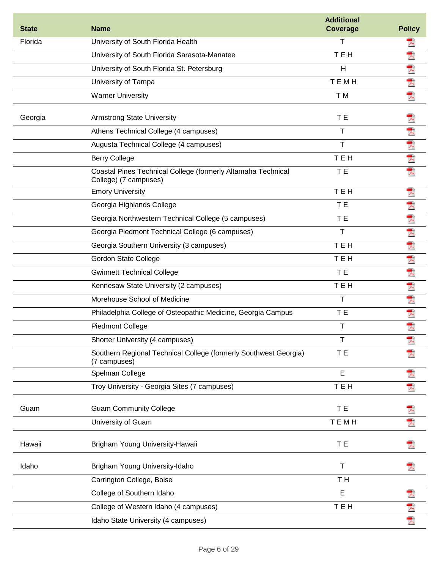| <b>State</b> | <b>Name</b>                                                                           | <b>Additional</b><br><b>Coverage</b> | <b>Policy</b>        |
|--------------|---------------------------------------------------------------------------------------|--------------------------------------|----------------------|
| Florida      | University of South Florida Health                                                    | $\mathsf{T}$                         | 人                    |
|              | University of South Florida Sarasota-Manatee                                          | <b>TEH</b>                           | ア                    |
|              | University of South Florida St. Petersburg                                            | $\overline{H}$                       | $\mathcal{L}$        |
|              | University of Tampa                                                                   | <b>TEMH</b>                          | 犬                    |
|              | <b>Warner University</b>                                                              | T M                                  | 쿳                    |
| Georgia      | <b>Armstrong State University</b>                                                     | T E                                  |                      |
|              | Athens Technical College (4 campuses)                                                 | т                                    |                      |
|              | Augusta Technical College (4 campuses)                                                | $\mathsf{T}$                         | 大丈夫                  |
|              | <b>Berry College</b>                                                                  | <b>TEH</b>                           |                      |
|              | Coastal Pines Technical College (formerly Altamaha Technical<br>College) (7 campuses) | T E                                  | 쿳                    |
|              | <b>Emory University</b>                                                               | <b>TEH</b>                           | ア                    |
|              | Georgia Highlands College                                                             | T E                                  |                      |
|              | Georgia Northwestern Technical College (5 campuses)                                   | T E                                  | 大犬                   |
|              | Georgia Piedmont Technical College (6 campuses)                                       | $\mathsf{T}$                         |                      |
|              | Georgia Southern University (3 campuses)                                              | <b>TEH</b>                           | 大丈                   |
|              | <b>Gordon State College</b>                                                           | <b>TEH</b>                           | $\overline{\lambda}$ |
|              | <b>Gwinnett Technical College</b>                                                     | T <sub>E</sub>                       |                      |
|              | Kennesaw State University (2 campuses)                                                | TEH                                  | 大犬                   |
|              | Morehouse School of Medicine                                                          | T                                    | 大犬                   |
|              | Philadelphia College of Osteopathic Medicine, Georgia Campus                          | T E                                  |                      |
|              | <b>Piedmont College</b>                                                               | $\mathsf T$                          | 쿳                    |
|              | Shorter University (4 campuses)                                                       | $\mathsf T$                          |                      |
|              | Southern Regional Technical College (formerly Southwest Georgia)<br>(7 campuses)      | T E                                  |                      |
|              | Spelman College                                                                       | E                                    | 겨                    |
|              | Troy University - Georgia Sites (7 campuses)                                          | TEH                                  | 굿                    |
| Guam         | <b>Guam Community College</b>                                                         | T E                                  |                      |
|              | University of Guam                                                                    | <b>TEMH</b>                          | 굿                    |
| Hawaii       | Brigham Young University-Hawaii                                                       | T E                                  |                      |
| Idaho        | Brigham Young University-Idaho                                                        | $\mathsf T$                          |                      |
|              | Carrington College, Boise                                                             | TH <sub></sub>                       |                      |
|              | College of Southern Idaho                                                             | E                                    | 겨                    |
|              | College of Western Idaho (4 campuses)                                                 | TEH                                  | 겨                    |
|              | Idaho State University (4 campuses)                                                   |                                      | 凤                    |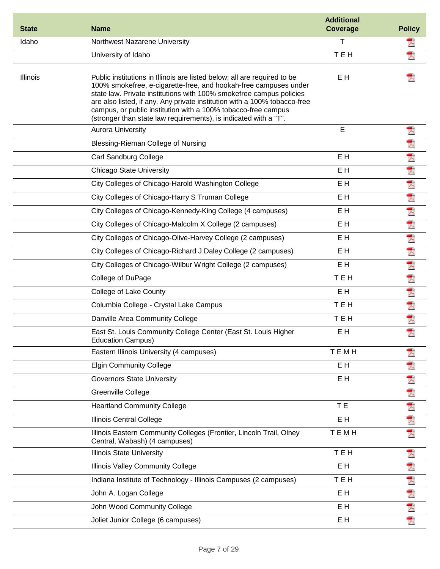| <b>State</b>    | <b>Name</b>                                                                                                                                                                                                                                                                                                                                                                                                                           | <b>Additional</b><br><b>Coverage</b> | <b>Policy</b>        |
|-----------------|---------------------------------------------------------------------------------------------------------------------------------------------------------------------------------------------------------------------------------------------------------------------------------------------------------------------------------------------------------------------------------------------------------------------------------------|--------------------------------------|----------------------|
| Idaho           | Northwest Nazarene University                                                                                                                                                                                                                                                                                                                                                                                                         | Τ                                    | 겨                    |
|                 | University of Idaho                                                                                                                                                                                                                                                                                                                                                                                                                   | <b>TEH</b>                           | ᆺ                    |
| <b>Illinois</b> | Public institutions in Illinois are listed below; all are required to be<br>100% smokefree, e-cigarette-free, and hookah-free campuses under<br>state law. Private institutions with 100% smokefree campus policies<br>are also listed, if any. Any private institution with a 100% tobacco-free<br>campus, or public institution with a 100% tobacco-free campus<br>(stronger than state law requirements), is indicated with a "T". | E H                                  |                      |
|                 | <b>Aurora University</b>                                                                                                                                                                                                                                                                                                                                                                                                              | E                                    | 쿳                    |
|                 | Blessing-Rieman College of Nursing                                                                                                                                                                                                                                                                                                                                                                                                    |                                      | 人                    |
|                 | Carl Sandburg College                                                                                                                                                                                                                                                                                                                                                                                                                 | E H                                  |                      |
|                 | <b>Chicago State University</b>                                                                                                                                                                                                                                                                                                                                                                                                       | E H                                  |                      |
|                 | City Colleges of Chicago-Harold Washington College                                                                                                                                                                                                                                                                                                                                                                                    | E H                                  |                      |
|                 | City Colleges of Chicago-Harry S Truman College                                                                                                                                                                                                                                                                                                                                                                                       | EH                                   | どうどうしょう しょうしょう       |
|                 | City Colleges of Chicago-Kennedy-King College (4 campuses)                                                                                                                                                                                                                                                                                                                                                                            | E H                                  |                      |
|                 | City Colleges of Chicago-Malcolm X College (2 campuses)                                                                                                                                                                                                                                                                                                                                                                               | E H                                  |                      |
|                 | City Colleges of Chicago-Olive-Harvey College (2 campuses)                                                                                                                                                                                                                                                                                                                                                                            | E H                                  |                      |
|                 | City Colleges of Chicago-Richard J Daley College (2 campuses)                                                                                                                                                                                                                                                                                                                                                                         | E H                                  |                      |
|                 | City Colleges of Chicago-Wilbur Wright College (2 campuses)                                                                                                                                                                                                                                                                                                                                                                           | E H                                  |                      |
|                 | College of DuPage                                                                                                                                                                                                                                                                                                                                                                                                                     | TEH                                  |                      |
|                 | College of Lake County                                                                                                                                                                                                                                                                                                                                                                                                                | E H                                  |                      |
|                 | Columbia College - Crystal Lake Campus                                                                                                                                                                                                                                                                                                                                                                                                | TEH                                  |                      |
|                 | Danville Area Community College                                                                                                                                                                                                                                                                                                                                                                                                       | TEH                                  | 夭                    |
|                 | East St. Louis Community College Center (East St. Louis Higher<br><b>Education Campus)</b>                                                                                                                                                                                                                                                                                                                                            | E H                                  | 쿳                    |
|                 | Eastern Illinois University (4 campuses)                                                                                                                                                                                                                                                                                                                                                                                              | TEMH                                 | 겨                    |
|                 | <b>Elgin Community College</b>                                                                                                                                                                                                                                                                                                                                                                                                        | EH                                   | 天                    |
|                 | <b>Governors State University</b>                                                                                                                                                                                                                                                                                                                                                                                                     | E H                                  | Ţ.                   |
|                 | Greenville College                                                                                                                                                                                                                                                                                                                                                                                                                    |                                      | $\overline{\lambda}$ |
|                 | <b>Heartland Community College</b>                                                                                                                                                                                                                                                                                                                                                                                                    | T E                                  | Ť.                   |
|                 | Illinois Central College                                                                                                                                                                                                                                                                                                                                                                                                              | E H                                  | 大                    |
|                 | Illinois Eastern Community Colleges (Frontier, Lincoln Trail, Olney<br>Central, Wabash) (4 campuses)                                                                                                                                                                                                                                                                                                                                  | TEMH                                 | 因                    |
|                 | <b>Illinois State University</b>                                                                                                                                                                                                                                                                                                                                                                                                      | TEH                                  | 犬                    |
|                 | Illinois Valley Community College                                                                                                                                                                                                                                                                                                                                                                                                     | E H                                  | Ā                    |
|                 | Indiana Institute of Technology - Illinois Campuses (2 campuses)                                                                                                                                                                                                                                                                                                                                                                      | TEH                                  | 쿳                    |
|                 | John A. Logan College                                                                                                                                                                                                                                                                                                                                                                                                                 | E H                                  |                      |
|                 | John Wood Community College                                                                                                                                                                                                                                                                                                                                                                                                           | E H                                  | 大大大                  |
|                 | Joliet Junior College (6 campuses)                                                                                                                                                                                                                                                                                                                                                                                                    | E H                                  |                      |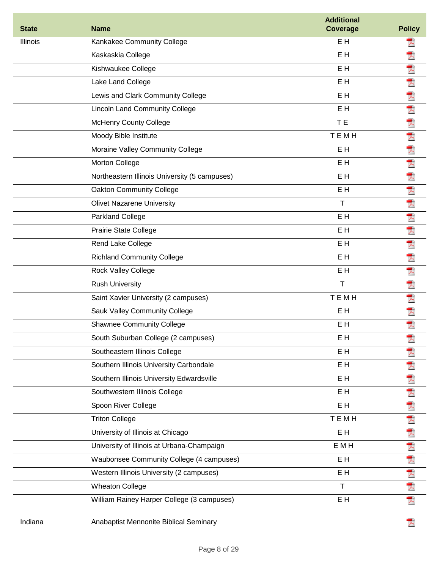| <b>State</b>    | <b>Name</b>                                   | <b>Additional</b><br><b>Coverage</b> | <b>Policy</b> |
|-----------------|-----------------------------------------------|--------------------------------------|---------------|
| <b>Illinois</b> | Kankakee Community College                    | E <sub>H</sub>                       |               |
|                 | Kaskaskia College                             | E <sub>H</sub>                       | 犬             |
|                 | Kishwaukee College                            | E <sub>H</sub>                       | 人             |
|                 | Lake Land College                             | E <sub>H</sub>                       | 大犬            |
|                 | Lewis and Clark Community College             | E H                                  |               |
|                 | <b>Lincoln Land Community College</b>         | EH                                   | 大             |
|                 | <b>McHenry County College</b>                 | T E                                  | 大             |
|                 | Moody Bible Institute                         | TEMH                                 | 大犬            |
|                 | Moraine Valley Community College              | E <sub>H</sub>                       |               |
|                 | Morton College                                | E <sub>H</sub>                       |               |
|                 | Northeastern Illinois University (5 campuses) | E <sub>H</sub>                       | 大人大人          |
|                 | <b>Oakton Community College</b>               | E <sub>H</sub>                       |               |
|                 | <b>Olivet Nazarene University</b>             | $\mathsf{T}$                         |               |
|                 | Parkland College                              | E <sub>H</sub>                       | 凤             |
|                 | Prairie State College                         | E <sub>H</sub>                       |               |
|                 | Rend Lake College                             | E <sub>H</sub>                       |               |
|                 | <b>Richland Community College</b>             | E <sub>H</sub>                       |               |
|                 | Rock Valley College                           | E <sub>H</sub>                       | 人人人人          |
|                 | <b>Rush University</b>                        | T                                    | 大大大           |
|                 | Saint Xavier University (2 campuses)          | TEMH                                 |               |
|                 | <b>Sauk Valley Community College</b>          | E H                                  |               |
|                 | <b>Shawnee Community College</b>              | E H                                  | 겨             |
|                 | South Suburban College (2 campuses)           | E H                                  | Ā             |
|                 | Southeastern Illinois College                 | E H                                  | 굿             |
|                 | Southern Illinois University Carbondale       | EH                                   | Ā             |
|                 | Southern Illinois University Edwardsville     | E H                                  | 凤             |
|                 | Southwestern Illinois College                 | E H                                  | 大大大           |
|                 | Spoon River College                           | EH                                   |               |
|                 | <b>Triton College</b>                         | <b>TEMH</b>                          |               |
|                 | University of Illinois at Chicago             | E H                                  | 人             |
|                 | University of Illinois at Urbana-Champaign    | E M H                                |               |
|                 | Waubonsee Community College (4 campuses)      | E H                                  | 大大大大          |
|                 | Western Illinois University (2 campuses)      | E H                                  |               |
|                 | <b>Wheaton College</b>                        | $\mathsf{T}$                         |               |
|                 | William Rainey Harper College (3 campuses)    | EH                                   | 퀏             |
| Indiana         | Anabaptist Mennonite Biblical Seminary        |                                      |               |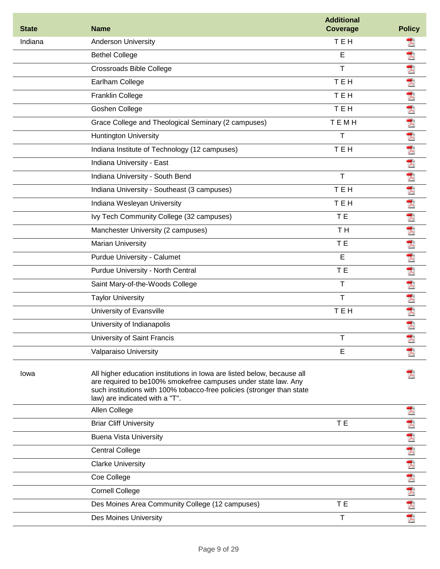| <b>State</b> | <b>Name</b>                                                                                                                                                                                                                                           | <b>Additional</b><br><b>Coverage</b> | <b>Policy</b>           |
|--------------|-------------------------------------------------------------------------------------------------------------------------------------------------------------------------------------------------------------------------------------------------------|--------------------------------------|-------------------------|
| Indiana      | Anderson University                                                                                                                                                                                                                                   | <b>TEH</b>                           |                         |
|              | <b>Bethel College</b>                                                                                                                                                                                                                                 | E                                    | 犬                       |
|              | <b>Crossroads Bible College</b>                                                                                                                                                                                                                       | T                                    | 人                       |
|              | Earlham College                                                                                                                                                                                                                                       | <b>TEH</b>                           | 大犬                      |
|              | Franklin College                                                                                                                                                                                                                                      | <b>TEH</b>                           |                         |
|              | Goshen College                                                                                                                                                                                                                                        | <b>TEH</b>                           | 大犬                      |
|              | Grace College and Theological Seminary (2 campuses)                                                                                                                                                                                                   | <b>TEMH</b>                          |                         |
|              | <b>Huntington University</b>                                                                                                                                                                                                                          | T                                    | 夭                       |
|              | Indiana Institute of Technology (12 campuses)                                                                                                                                                                                                         | TEH                                  | 夭                       |
|              | Indiana University - East                                                                                                                                                                                                                             |                                      |                         |
|              | Indiana University - South Bend                                                                                                                                                                                                                       | $\mathsf{T}$                         | 因为因为因为人                 |
|              | Indiana University - Southeast (3 campuses)                                                                                                                                                                                                           | <b>TEH</b>                           |                         |
|              | Indiana Wesleyan University                                                                                                                                                                                                                           | <b>TEH</b>                           |                         |
|              | Ivy Tech Community College (32 campuses)                                                                                                                                                                                                              | T E                                  |                         |
|              | Manchester University (2 campuses)                                                                                                                                                                                                                    | TH <sub></sub>                       |                         |
|              | <b>Marian University</b>                                                                                                                                                                                                                              | T E                                  |                         |
|              | Purdue University - Calumet                                                                                                                                                                                                                           | E                                    | 犬                       |
|              | Purdue University - North Central                                                                                                                                                                                                                     | T <sub>E</sub>                       | 人                       |
|              | Saint Mary-of-the-Woods College                                                                                                                                                                                                                       | T                                    | $\overline{\mathbb{A}}$ |
|              | <b>Taylor University</b>                                                                                                                                                                                                                              | T                                    | 去犬                      |
|              | University of Evansville                                                                                                                                                                                                                              | <b>TEH</b>                           |                         |
|              | University of Indianapolis                                                                                                                                                                                                                            |                                      | 굿                       |
|              | University of Saint Francis                                                                                                                                                                                                                           |                                      | 겨                       |
|              | Valparaiso University                                                                                                                                                                                                                                 | Е                                    |                         |
| lowa         | All higher education institutions in lowa are listed below, because all<br>are required to be100% smokefree campuses under state law. Any<br>such institutions with 100% tobacco-free policies (stronger than state<br>law) are indicated with a "T". |                                      |                         |
|              | Allen College                                                                                                                                                                                                                                         |                                      | プ                       |
|              | <b>Briar Cliff University</b>                                                                                                                                                                                                                         | T E                                  | Ā                       |
|              | <b>Buena Vista University</b>                                                                                                                                                                                                                         |                                      |                         |
|              | <b>Central College</b>                                                                                                                                                                                                                                |                                      |                         |
|              | <b>Clarke University</b>                                                                                                                                                                                                                              |                                      | 西西西西西西西                 |
|              | Coe College                                                                                                                                                                                                                                           |                                      |                         |
|              | <b>Cornell College</b>                                                                                                                                                                                                                                |                                      |                         |
|              | Des Moines Area Community College (12 campuses)                                                                                                                                                                                                       | T E                                  |                         |
|              | Des Moines University                                                                                                                                                                                                                                 | $\mathsf T$                          |                         |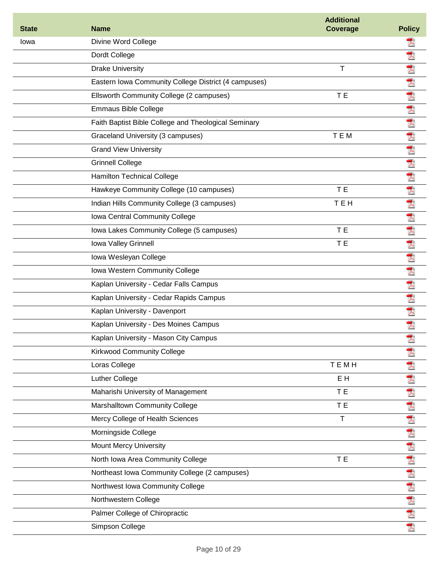| <b>State</b> | <b>Name</b>                                          | <b>Additional</b><br><b>Coverage</b> | <b>Policy</b>   |
|--------------|------------------------------------------------------|--------------------------------------|-----------------|
| Iowa         | Divine Word College                                  |                                      | ᄎ               |
|              | Dordt College                                        |                                      | 굿               |
|              | <b>Drake University</b>                              | $\mathsf T$                          | 굿               |
|              | Eastern Iowa Community College District (4 campuses) |                                      | 쿳               |
|              | Ellsworth Community College (2 campuses)             | T E                                  | $\bar{\lambda}$ |
|              | <b>Emmaus Bible College</b>                          |                                      | 凤               |
|              | Faith Baptist Bible College and Theological Seminary |                                      | 凤               |
|              | Graceland University (3 campuses)                    | TEM                                  | 쿳               |
|              | <b>Grand View University</b>                         |                                      | ₹               |
|              | <b>Grinnell College</b>                              |                                      | 大犬              |
|              | <b>Hamilton Technical College</b>                    |                                      |                 |
|              | Hawkeye Community College (10 campuses)              | T E                                  | 凤               |
|              | Indian Hills Community College (3 campuses)          | <b>TEH</b>                           | 凤               |
|              | Iowa Central Community College                       |                                      | 天               |
|              | Iowa Lakes Community College (5 campuses)            | T E                                  | 犬               |
|              | Iowa Valley Grinnell                                 | T E                                  | 쿳               |
|              | Iowa Wesleyan College                                |                                      | Ā               |
|              | Iowa Western Community College                       |                                      | 굿               |
|              | Kaplan University - Cedar Falls Campus               |                                      | 굿               |
|              | Kaplan University - Cedar Rapids Campus              |                                      | 犬               |
|              | Kaplan University - Davenport                        |                                      | 퀏               |
|              | Kaplan University - Des Moines Campus                |                                      | 굿               |
|              | Kaplan University - Mason City Campus                |                                      | Ā               |
|              | <b>Kirkwood Community College</b>                    |                                      | 굿               |
|              | Loras College                                        | TEMH                                 | 入               |
|              | Luther College                                       | E H                                  | 人               |
|              | Maharishi University of Management                   | T E                                  | 人               |
|              | Marshalltown Community College                       | T E                                  | 大犬              |
|              | Mercy College of Health Sciences                     | $\mathsf T$                          |                 |
|              | Morningside College                                  |                                      | 犬               |
|              | <b>Mount Mercy University</b>                        |                                      | Ā               |
|              | North Iowa Area Community College                    | T E                                  |                 |
|              | Northeast Iowa Community College (2 campuses)        |                                      | 大人大大大           |
|              | Northwest Iowa Community College                     |                                      |                 |
|              | Northwestern College                                 |                                      |                 |
|              | Palmer College of Chiropractic                       |                                      |                 |
|              | Simpson College                                      |                                      | 犬               |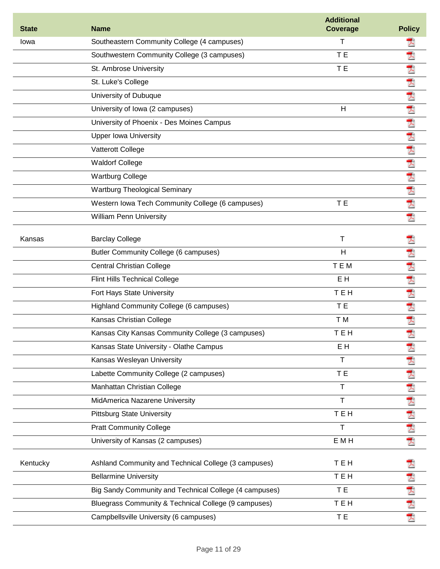| <b>State</b> | <b>Name</b>                                            | <b>Additional</b><br><b>Coverage</b> | <b>Policy</b> |
|--------------|--------------------------------------------------------|--------------------------------------|---------------|
| Iowa         | Southeastern Community College (4 campuses)            | т                                    | ᄎ             |
|              | Southwestern Community College (3 campuses)            | T E                                  | 犬             |
|              | St. Ambrose University                                 | T E                                  | 굿             |
|              | St. Luke's College                                     |                                      | 凤             |
|              | University of Dubuque                                  |                                      | 犬             |
|              | University of Iowa (2 campuses)                        | H                                    | 犬             |
|              | University of Phoenix - Des Moines Campus              |                                      | 凤             |
|              | <b>Upper Iowa University</b>                           |                                      | ₹             |
|              | Vatterott College                                      |                                      | 凤             |
|              | <b>Waldorf College</b>                                 |                                      | 犬             |
|              | <b>Wartburg College</b>                                |                                      | 犬             |
|              | <b>Wartburg Theological Seminary</b>                   |                                      | 犬             |
|              | Western Iowa Tech Community College (6 campuses)       | T E                                  | 犬             |
|              | <b>William Penn University</b>                         |                                      | 쿳             |
| Kansas       | <b>Barclay College</b>                                 | Τ                                    | 스             |
|              | Butler Community College (6 campuses)                  | H                                    | 굿             |
|              | <b>Central Christian College</b>                       | TEM                                  | T)            |
|              | <b>Flint Hills Technical College</b>                   | E <sub>H</sub>                       | 凤             |
|              | Fort Hays State University                             | <b>TEH</b>                           | 人             |
|              | Highland Community College (6 campuses)                | T E                                  | 犬             |
|              | Kansas Christian College                               | T M                                  | 犬             |
|              | Kansas City Kansas Community College (3 campuses)      | <b>TEH</b>                           | 귓             |
|              | Kansas State University - Olathe Campus                | E H                                  | 굿             |
|              | Kansas Wesleyan University                             | Τ                                    | 犬             |
|              | Labette Community College (2 campuses)                 | T E                                  | 굿             |
|              | Manhattan Christian College                            | T                                    | 犬             |
|              | MidAmerica Nazarene University                         | T                                    | 犬             |
|              | <b>Pittsburg State University</b>                      | <b>TEH</b>                           |               |
|              | <b>Pratt Community College</b>                         | T                                    | 大犬            |
|              | University of Kansas (2 campuses)                      | E M H                                | 쿳             |
| Kentucky     | Ashland Community and Technical College (3 campuses)   | TEH                                  |               |
|              | <b>Bellarmine University</b>                           | TEH                                  |               |
|              | Big Sandy Community and Technical College (4 campuses) | T E                                  |               |
|              | Bluegrass Community & Technical College (9 campuses)   | TEH                                  | メスメ           |
|              | Campbellsville University (6 campuses)                 | T E                                  | T.            |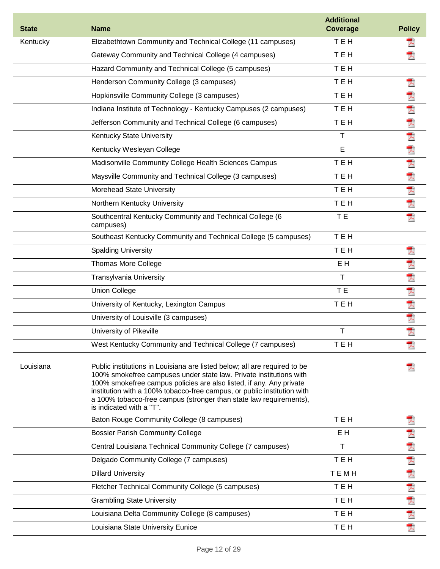| <b>State</b> | <b>Name</b>                                                                                                                                                                                                                                                                                                                                                                                         | <b>Additional</b><br><b>Coverage</b> | <b>Policy</b> |
|--------------|-----------------------------------------------------------------------------------------------------------------------------------------------------------------------------------------------------------------------------------------------------------------------------------------------------------------------------------------------------------------------------------------------------|--------------------------------------|---------------|
| Kentucky     | Elizabethtown Community and Technical College (11 campuses)                                                                                                                                                                                                                                                                                                                                         | <b>TEH</b>                           |               |
|              | Gateway Community and Technical College (4 campuses)                                                                                                                                                                                                                                                                                                                                                | TEH                                  | 犬             |
|              | Hazard Community and Technical College (5 campuses)                                                                                                                                                                                                                                                                                                                                                 | <b>TEH</b>                           |               |
|              | Henderson Community College (3 campuses)                                                                                                                                                                                                                                                                                                                                                            | TEH                                  | T)            |
|              | Hopkinsville Community College (3 campuses)                                                                                                                                                                                                                                                                                                                                                         | TEH                                  | 人             |
|              | Indiana Institute of Technology - Kentucky Campuses (2 campuses)                                                                                                                                                                                                                                                                                                                                    | TEH                                  |               |
|              | Jefferson Community and Technical College (6 campuses)                                                                                                                                                                                                                                                                                                                                              | TEH                                  | 大犬            |
|              | Kentucky State University                                                                                                                                                                                                                                                                                                                                                                           | $\top$                               |               |
|              | Kentucky Wesleyan College                                                                                                                                                                                                                                                                                                                                                                           | E                                    | 因为因为因为        |
|              | Madisonville Community College Health Sciences Campus                                                                                                                                                                                                                                                                                                                                               | TEH                                  |               |
|              | Maysville Community and Technical College (3 campuses)                                                                                                                                                                                                                                                                                                                                              | <b>TEH</b>                           |               |
|              | Morehead State University                                                                                                                                                                                                                                                                                                                                                                           | TEH                                  |               |
|              | Northern Kentucky University                                                                                                                                                                                                                                                                                                                                                                        | TEH                                  |               |
|              | Southcentral Kentucky Community and Technical College (6<br>campuses)                                                                                                                                                                                                                                                                                                                               | T E                                  | 굿             |
|              | Southeast Kentucky Community and Technical College (5 campuses)                                                                                                                                                                                                                                                                                                                                     | TEH                                  |               |
|              | <b>Spalding University</b>                                                                                                                                                                                                                                                                                                                                                                          | TEH                                  | 쿳             |
|              | <b>Thomas More College</b>                                                                                                                                                                                                                                                                                                                                                                          | E <sub>H</sub>                       | À             |
|              | <b>Transylvania University</b>                                                                                                                                                                                                                                                                                                                                                                      | Τ                                    | Ť.            |
|              | <b>Union College</b>                                                                                                                                                                                                                                                                                                                                                                                | T E                                  | 大犬            |
|              | University of Kentucky, Lexington Campus                                                                                                                                                                                                                                                                                                                                                            | TEH                                  |               |
|              | University of Louisville (3 campuses)                                                                                                                                                                                                                                                                                                                                                               |                                      | 犬             |
|              | University of Pikeville                                                                                                                                                                                                                                                                                                                                                                             | T                                    | 쿳             |
|              | West Kentucky Community and Technical College (7 campuses)                                                                                                                                                                                                                                                                                                                                          | TEH                                  |               |
| Louisiana    | Public institutions in Louisiana are listed below; all are required to be<br>100% smokefree campuses under state law. Private institutions with<br>100% smokefree campus policies are also listed, if any. Any private<br>institution with a 100% tobacco-free campus, or public institution with<br>a 100% tobacco-free campus (stronger than state law requirements),<br>is indicated with a "T". |                                      |               |
|              | Baton Rouge Community College (8 campuses)                                                                                                                                                                                                                                                                                                                                                          | TEH                                  | 겨             |
|              | <b>Bossier Parish Community College</b>                                                                                                                                                                                                                                                                                                                                                             | E <sub>H</sub>                       | 人             |
|              | Central Louisiana Technical Community College (7 campuses)                                                                                                                                                                                                                                                                                                                                          | T                                    |               |
|              | Delgado Community College (7 campuses)                                                                                                                                                                                                                                                                                                                                                              | TEH                                  |               |
|              | <b>Dillard University</b>                                                                                                                                                                                                                                                                                                                                                                           | <b>TEMH</b>                          |               |
|              | Fletcher Technical Community College (5 campuses)                                                                                                                                                                                                                                                                                                                                                   | TEH                                  | 大大大人          |
|              | <b>Grambling State University</b>                                                                                                                                                                                                                                                                                                                                                                   | TEH                                  |               |
|              | Louisiana Delta Community College (8 campuses)                                                                                                                                                                                                                                                                                                                                                      | TEH                                  | 大犬            |
|              | Louisiana State University Eunice                                                                                                                                                                                                                                                                                                                                                                   | TEH                                  | 굿             |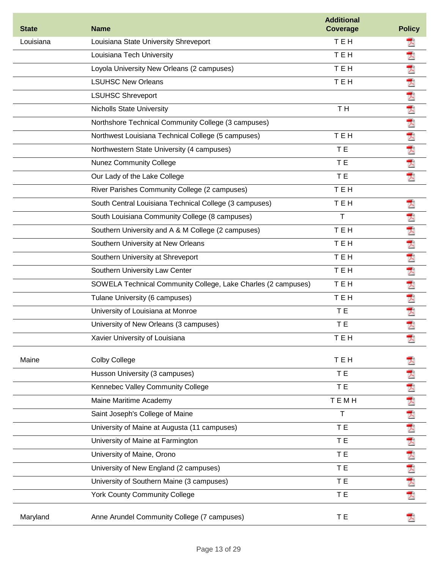| <b>State</b> | <b>Name</b>                                                   | <b>Additional</b><br><b>Coverage</b> | <b>Policy</b> |
|--------------|---------------------------------------------------------------|--------------------------------------|---------------|
| Louisiana    | Louisiana State University Shreveport                         | <b>TEH</b>                           | 人             |
|              | Louisiana Tech University                                     | <b>TEH</b>                           | 쿳             |
|              | Loyola University New Orleans (2 campuses)                    | <b>TEH</b>                           | 굿             |
|              | <b>LSUHSC New Orleans</b>                                     | <b>TEH</b>                           | 人             |
|              | <b>LSUHSC Shreveport</b>                                      |                                      |               |
|              | <b>Nicholls State University</b>                              | TH <sub></sub>                       | 因为因为人人        |
|              | Northshore Technical Community College (3 campuses)           |                                      |               |
|              | Northwest Louisiana Technical College (5 campuses)            | TEH                                  |               |
|              | Northwestern State University (4 campuses)                    | T E                                  |               |
|              | <b>Nunez Community College</b>                                | T E                                  | 犬             |
|              | Our Lady of the Lake College                                  | T E                                  | 쿳             |
|              | River Parishes Community College (2 campuses)                 | <b>TEH</b>                           |               |
|              | South Central Louisiana Technical College (3 campuses)        | <b>TEH</b>                           | 굿             |
|              | South Louisiana Community College (8 campuses)                | T                                    | 犬             |
|              | Southern University and A & M College (2 campuses)            | TEH                                  | 大犬            |
|              | Southern University at New Orleans                            | TEH                                  |               |
|              | Southern University at Shreveport                             | <b>TEH</b>                           | 犬             |
|              | Southern University Law Center                                | <b>TEH</b>                           | 犬             |
|              | SOWELA Technical Community College, Lake Charles (2 campuses) | <b>TEH</b>                           | Ā             |
|              | Tulane University (6 campuses)                                | <b>TEH</b>                           | 人             |
|              | University of Louisiana at Monroe                             | T E                                  | 犬             |
|              | University of New Orleans (3 campuses)                        | T E                                  | 凤             |
|              | Xavier University of Louisiana                                | тен                                  | A             |
| Maine        | <b>Colby College</b>                                          | TEH                                  |               |
|              | Husson University (3 campuses)                                | T E                                  |               |
|              | Kennebec Valley Community College                             | T E                                  |               |
|              | Maine Maritime Academy                                        | <b>TEMH</b>                          |               |
|              | Saint Joseph's College of Maine                               | $\mathsf T$                          |               |
|              | University of Maine at Augusta (11 campuses)                  | T E                                  |               |
|              | University of Maine at Farmington                             | T E                                  |               |
|              | University of Maine, Orono                                    | T E                                  |               |
|              | University of New England (2 campuses)                        | T E                                  | 医内内内内内内内内内    |
|              | University of Southern Maine (3 campuses)                     | T E                                  |               |
|              | <b>York County Community College</b>                          | T E                                  |               |
| Maryland     | Anne Arundel Community College (7 campuses)                   | T E                                  |               |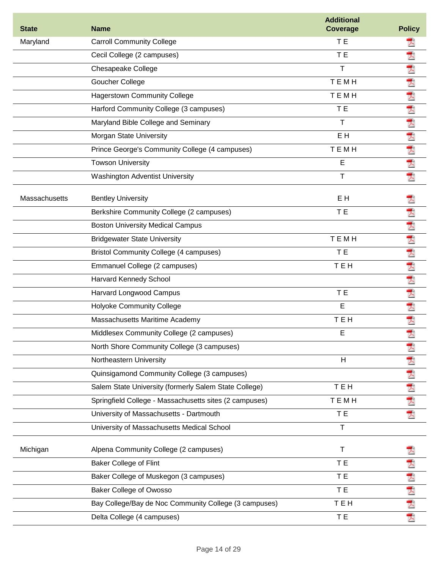| <b>State</b>  | <b>Name</b>                                            | <b>Additional</b><br><b>Coverage</b> | <b>Policy</b> |
|---------------|--------------------------------------------------------|--------------------------------------|---------------|
| Maryland      | <b>Carroll Community College</b>                       | T E                                  | 人             |
|               | Cecil College (2 campuses)                             | T E                                  | 犬             |
|               | Chesapeake College                                     | $\mathsf{T}$                         | 人             |
|               | Goucher College                                        | <b>TEMH</b>                          | 大             |
|               | <b>Hagerstown Community College</b>                    | TEMH                                 |               |
|               | Harford Community College (3 campuses)                 | T E                                  | 因 因 人 人 人     |
|               | Maryland Bible College and Seminary                    | т                                    |               |
|               | Morgan State University                                | E H                                  |               |
|               | Prince George's Community College (4 campuses)         | <b>TEMH</b>                          |               |
|               | <b>Towson University</b>                               | E                                    | 凤             |
|               | <b>Washington Adventist University</b>                 | $\mathsf{T}$                         | 굿             |
| Massachusetts | <b>Bentley University</b>                              | E <sub>H</sub>                       |               |
|               | Berkshire Community College (2 campuses)               | T E                                  | 人             |
|               | <b>Boston University Medical Campus</b>                |                                      |               |
|               | <b>Bridgewater State University</b>                    | TEMH                                 | 大人大           |
|               | <b>Bristol Community College (4 campuses)</b>          | T E                                  |               |
|               | Emmanuel College (2 campuses)                          | TEH                                  |               |
|               | Harvard Kennedy School                                 |                                      | 大犬            |
|               | Harvard Longwood Campus                                | T E                                  | 犬             |
|               | <b>Holyoke Community College</b>                       | E                                    | 쿳             |
|               | Massachusetts Maritime Academy                         | <b>TEH</b>                           | 夭             |
|               | Middlesex Community College (2 campuses)               | E                                    | 것             |
|               | North Shore Community College (3 campuses)             |                                      | 犬             |
|               | Northeastern University                                | H                                    | 人             |
|               | Quinsigamond Community College (3 campuses)            |                                      | 人             |
|               | Salem State University (formerly Salem State College)  | <b>TEH</b>                           | 大             |
|               | Springfield College - Massachusetts sites (2 campuses) | TEMH                                 | 쿳             |
|               | University of Massachusetts - Dartmouth                | T E                                  | 凤             |
|               | University of Massachusetts Medical School             | $\mathsf T$                          |               |
| Michigan      | Alpena Community College (2 campuses)                  | $\mathsf T$                          |               |
|               | <b>Baker College of Flint</b>                          | T E                                  | 겨             |
|               | Baker College of Muskegon (3 campuses)                 | T E                                  |               |
|               | <b>Baker College of Owosso</b>                         | T E                                  |               |
|               | Bay College/Bay de Noc Community College (3 campuses)  | TEH                                  | 大大大           |
|               | Delta College (4 campuses)                             | T E                                  | 大             |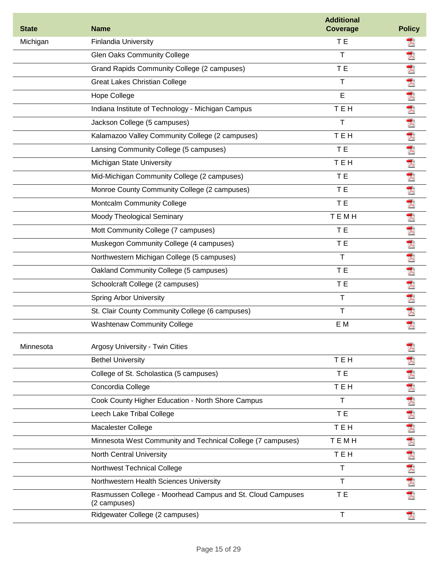| <b>State</b> | <b>Name</b>                                                                | <b>Additional</b><br><b>Coverage</b> | <b>Policy</b> |
|--------------|----------------------------------------------------------------------------|--------------------------------------|---------------|
| Michigan     | <b>Finlandia University</b>                                                | T E                                  |               |
|              | <b>Glen Oaks Community College</b>                                         | т                                    | 굿             |
|              | Grand Rapids Community College (2 campuses)                                | T E                                  |               |
|              | <b>Great Lakes Christian College</b>                                       | T                                    | 医大大大大         |
|              | Hope College                                                               | E                                    |               |
|              | Indiana Institute of Technology - Michigan Campus                          | TEH                                  |               |
|              | Jackson College (5 campuses)                                               | Т                                    |               |
|              | Kalamazoo Valley Community College (2 campuses)                            | <b>TEH</b>                           |               |
|              | Lansing Community College (5 campuses)                                     | T E                                  | 大犬            |
|              | Michigan State University                                                  | <b>TEH</b>                           |               |
|              | Mid-Michigan Community College (2 campuses)                                | T E                                  |               |
|              | Monroe County Community College (2 campuses)                               | T E                                  |               |
|              | <b>Montcalm Community College</b>                                          | T E                                  | 因为因为因为因为      |
|              | Moody Theological Seminary                                                 | TEMH                                 |               |
|              | Mott Community College (7 campuses)                                        | T E                                  |               |
|              | Muskegon Community College (4 campuses)                                    | T E                                  |               |
|              | Northwestern Michigan College (5 campuses)                                 | T                                    | 大犬            |
|              | Oakland Community College (5 campuses)                                     | T E                                  |               |
|              | Schoolcraft College (2 campuses)                                           | T E                                  | 人             |
|              | <b>Spring Arbor University</b>                                             | T                                    | 大犬            |
|              | St. Clair County Community College (6 campuses)                            | T                                    |               |
|              | <b>Washtenaw Community College</b>                                         | E M                                  | 굿             |
| Minnesota    | Argosy University - Twin Cities                                            |                                      |               |
|              | <b>Bethel University</b>                                                   | TEH                                  | 굿             |
|              | College of St. Scholastica (5 campuses)                                    | T E                                  | 人             |
|              | Concordia College                                                          | TEH                                  | 人             |
|              | Cook County Higher Education - North Shore Campus                          | T                                    | 夭             |
|              | Leech Lake Tribal College                                                  | T E                                  |               |
|              | Macalester College                                                         | TEH                                  | 大犬            |
|              | Minnesota West Community and Technical College (7 campuses)                | TEMH                                 |               |
|              | <b>North Central University</b>                                            | TEH                                  | 大大大大          |
|              | Northwest Technical College                                                | T                                    |               |
|              | Northwestern Health Sciences University                                    | T                                    |               |
|              | Rasmussen College - Moorhead Campus and St. Cloud Campuses<br>(2 campuses) | T E                                  | 天             |
|              | Ridgewater College (2 campuses)                                            | T                                    |               |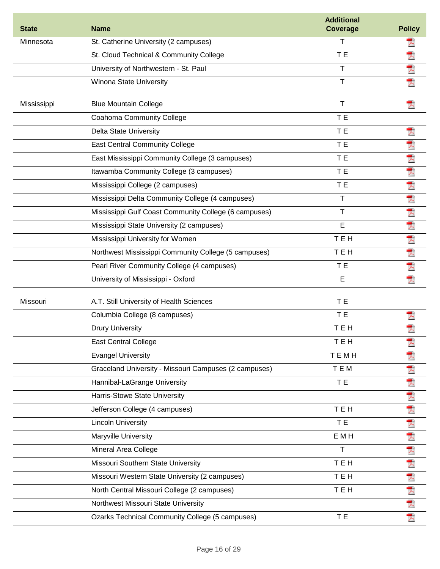| <b>State</b> | <b>Name</b>                                            | <b>Additional</b><br><b>Coverage</b> | <b>Policy</b>   |
|--------------|--------------------------------------------------------|--------------------------------------|-----------------|
| Minnesota    | St. Catherine University (2 campuses)                  | т                                    | ᄎ               |
|              | St. Cloud Technical & Community College                | T <sub>E</sub>                       | 人               |
|              | University of Northwestern - St. Paul                  | T                                    | 犬               |
|              | Winona State University                                | T                                    | 쿳               |
| Mississippi  | <b>Blue Mountain College</b>                           | $\top$                               |                 |
|              | Coahoma Community College                              | T <sub>E</sub>                       |                 |
|              | <b>Delta State University</b>                          | T E                                  | 굿               |
|              | <b>East Central Community College</b>                  | T E                                  | 人               |
|              | East Mississippi Community College (3 campuses)        | T <sub>E</sub>                       | ₹               |
|              | Itawamba Community College (3 campuses)                | T E                                  | 人               |
|              | Mississippi College (2 campuses)                       | T <sub>E</sub>                       | 夭               |
|              | Mississippi Delta Community College (4 campuses)       | T                                    |                 |
|              | Mississippi Gulf Coast Community College (6 campuses)  | $\mathsf T$                          | 大犬              |
|              | Mississippi State University (2 campuses)              | E                                    | $\bar{\lambda}$ |
|              | Mississippi University for Women                       | <b>TEH</b>                           |                 |
|              | Northwest Mississippi Community College (5 campuses)   | <b>TEH</b>                           | 大犬              |
|              | Pearl River Community College (4 campuses)             | T E                                  | 大               |
|              | University of Mississippi - Oxford                     | E                                    | T.              |
| Missouri     | A.T. Still University of Health Sciences               | T E                                  |                 |
|              | Columbia College (8 campuses)                          | T E                                  | ᆺ               |
|              | <b>Drury University</b>                                | <b>TEH</b>                           |                 |
|              | <b>East Central College</b>                            | TEH                                  |                 |
|              | <b>Evangel University</b>                              | TEMH                                 | 겨               |
|              | Graceland University - Missouri Campuses (2 campuses)  | <b>TEM</b>                           | 퀏               |
|              | Hannibal-LaGrange University                           | TE <sub></sub>                       |                 |
|              | Harris-Stowe State University                          |                                      | 大犬              |
|              | Jefferson College (4 campuses)                         | <b>TEH</b>                           | 人               |
|              | <b>Lincoln University</b>                              | T E                                  | 人               |
|              | Maryville University                                   | E M H                                | 人               |
|              | Mineral Area College                                   | T                                    | 人               |
|              | Missouri Southern State University                     | TEH                                  | 大               |
|              | Missouri Western State University (2 campuses)         | TEH                                  |                 |
|              | North Central Missouri College (2 campuses)            | TEH                                  | ススス             |
|              | Northwest Missouri State University                    |                                      |                 |
|              | <b>Ozarks Technical Community College (5 campuses)</b> | T E                                  | 犬               |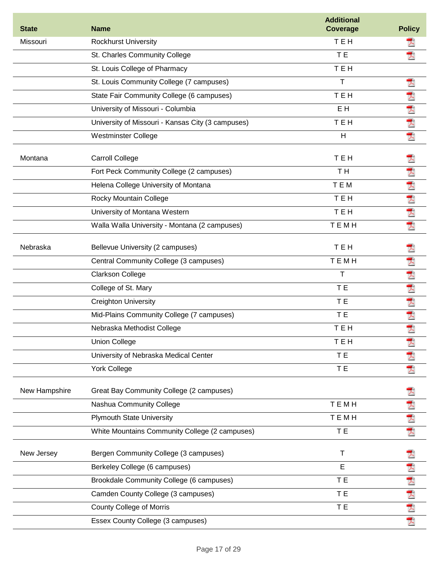| <b>State</b>  | <b>Name</b>                                       | <b>Additional</b><br>Coverage | <b>Policy</b> |
|---------------|---------------------------------------------------|-------------------------------|---------------|
| Missouri      | <b>Rockhurst University</b>                       | <b>TEH</b>                    | 入             |
|               | St. Charles Community College                     | T E                           |               |
|               | St. Louis College of Pharmacy                     | <b>TEH</b>                    |               |
|               | St. Louis Community College (7 campuses)          | T                             | 겨             |
|               | State Fair Community College (6 campuses)         | <b>TEH</b>                    |               |
|               | University of Missouri - Columbia                 | E <sub>H</sub>                |               |
|               | University of Missouri - Kansas City (3 campuses) | TEH                           | 大大大           |
|               | <b>Westminster College</b>                        | H                             | 犬             |
| Montana       | <b>Carroll College</b>                            | <b>TEH</b>                    |               |
|               | Fort Peck Community College (2 campuses)          | T <sub>H</sub>                | 人             |
|               | Helena College University of Montana              | TEM                           | 犬             |
|               | Rocky Mountain College                            | <b>TEH</b>                    |               |
|               | University of Montana Western                     | TEH                           | 大犬            |
|               | Walla Walla University - Montana (2 campuses)     | <b>TEMH</b>                   | 쿳             |
| Nebraska      | Bellevue University (2 campuses)                  | TEH                           | y             |
|               | Central Community College (3 campuses)            | TEMH                          | 大             |
|               | Clarkson College                                  | Τ                             |               |
|               | College of St. Mary                               | T E                           | アス            |
|               | <b>Creighton University</b>                       | T E                           | 人             |
|               | Mid-Plains Community College (7 campuses)         | T E                           | 쿳             |
|               | Nebraska Methodist College                        | <b>TEH</b>                    | 쿳             |
|               | <b>Union College</b>                              | TEH                           |               |
|               | University of Nebraska Medical Center             | T E                           | ᄎ             |
|               | <b>York College</b>                               | T E                           | 因             |
| New Hampshire | Great Bay Community College (2 campuses)          |                               |               |
|               | Nashua Community College                          | TEMH                          |               |
|               | <b>Plymouth State University</b>                  | <b>TEMH</b>                   | 大大大           |
|               | White Mountains Community College (2 campuses)    | T E                           |               |
| New Jersey    | Bergen Community College (3 campuses)             | $\mathsf T$                   |               |
|               | Berkeley College (6 campuses)                     | E                             |               |
|               | Brookdale Community College (6 campuses)          | T E                           |               |
|               | Camden County College (3 campuses)                | T E                           |               |
|               | <b>County College of Morris</b>                   | T E                           | 医犬犬犬犬         |
|               | Essex County College (3 campuses)                 |                               |               |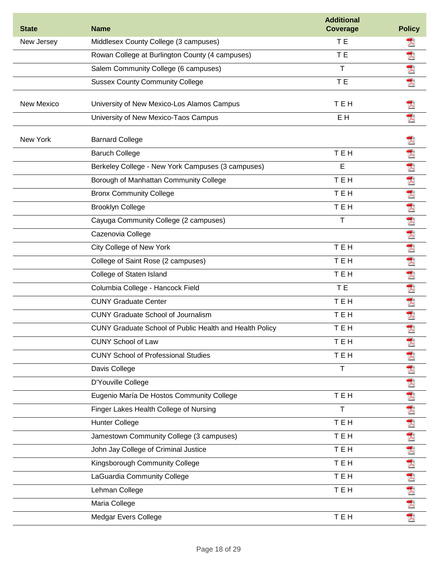| <b>State</b> | <b>Name</b>                                             | <b>Additional</b><br><b>Coverage</b> | <b>Policy</b> |
|--------------|---------------------------------------------------------|--------------------------------------|---------------|
| New Jersey   | Middlesex County College (3 campuses)                   | T E                                  | ᄎ             |
|              | Rowan College at Burlington County (4 campuses)         | T E                                  | 굿             |
|              | Salem Community College (6 campuses)                    | Τ                                    | 굿             |
|              | <b>Sussex County Community College</b>                  | T E                                  | 쿳             |
|              |                                                         |                                      |               |
| New Mexico   | University of New Mexico-Los Alamos Campus              | TEH                                  |               |
|              | University of New Mexico-Taos Campus                    | E <sub>H</sub>                       | 굿             |
| New York     | <b>Barnard College</b>                                  |                                      |               |
|              | <b>Baruch College</b>                                   | <b>TEH</b>                           | 犬             |
|              | Berkeley College - New York Campuses (3 campuses)       | Е                                    | 人             |
|              | Borough of Manhattan Community College                  | <b>TEH</b>                           | A             |
|              | <b>Bronx Community College</b>                          | <b>TEH</b>                           | 犬             |
|              | <b>Brooklyn College</b>                                 | TEH                                  | 人             |
|              | Cayuga Community College (2 campuses)                   | Τ                                    | 犬             |
|              | Cazenovia College                                       |                                      | 犬             |
|              | City College of New York                                | TEH                                  | 쿳             |
|              | College of Saint Rose (2 campuses)                      | TEH                                  | 굿             |
|              | College of Staten Island                                | <b>TEH</b>                           | 犬             |
|              | Columbia College - Hancock Field                        | T E                                  | 굿             |
|              | <b>CUNY Graduate Center</b>                             | <b>TEH</b>                           | 굿             |
|              | <b>CUNY Graduate School of Journalism</b>               | <b>TEH</b>                           | 犬             |
|              | CUNY Graduate School of Public Health and Health Policy | <b>TEH</b>                           | 쿳             |
|              | <b>CUNY School of Law</b>                               | TEH                                  | 겨             |
|              | <b>CUNY School of Professional Studies</b>              | TEH                                  | Ā             |
|              | Davis College                                           | Τ                                    | 人             |
|              | D'Youville College                                      |                                      | 人             |
|              | Eugenio María De Hostos Community College               | <b>TEH</b>                           | 人             |
|              | Finger Lakes Health College of Nursing                  | T                                    | 人             |
|              | <b>Hunter College</b>                                   | TEH                                  | 凤             |
|              | Jamestown Community College (3 campuses)                | TEH                                  | 夭             |
|              | John Jay College of Criminal Justice                    | TEH                                  | 犬             |
|              | Kingsborough Community College                          | TEH                                  | 大             |
|              | LaGuardia Community College                             | TEH                                  |               |
|              | Lehman College                                          | TEH                                  |               |
|              | Maria College                                           |                                      | 大大大大          |
|              | Medgar Evers College                                    | <b>TEH</b>                           |               |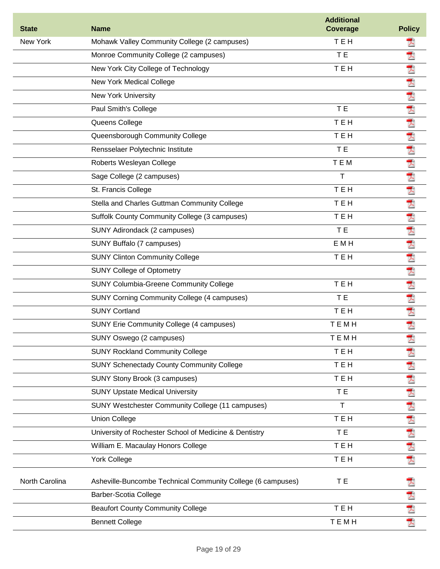| <b>State</b>   | <b>Name</b>                                                 | <b>Additional</b><br>Coverage | <b>Policy</b> |
|----------------|-------------------------------------------------------------|-------------------------------|---------------|
| New York       | Mohawk Valley Community College (2 campuses)                | TEH                           | ᄎ             |
|                | Monroe Community College (2 campuses)                       | T E                           | 굿             |
|                | New York City College of Technology                         | <b>TEH</b>                    | 굿             |
|                | New York Medical College                                    |                               | 凤             |
|                | <b>New York University</b>                                  |                               | 犬             |
|                | Paul Smith's College                                        | T E                           | 夭             |
|                | Queens College                                              | TEH                           | 犬             |
|                | Queensborough Community College                             | <b>TEH</b>                    | 人             |
|                | Rensselaer Polytechnic Institute                            | T E                           | 犬             |
|                | Roberts Wesleyan College                                    | <b>TEM</b>                    | 犬             |
|                | Sage College (2 campuses)                                   | т                             | 犬             |
|                | St. Francis College                                         | <b>TEH</b>                    | 犬             |
|                | Stella and Charles Guttman Community College                | <b>TEH</b>                    | 夭             |
|                | Suffolk County Community College (3 campuses)               | TEH                           | 夭             |
|                | SUNY Adirondack (2 campuses)                                | TE <sub></sub>                | 퀏             |
|                | SUNY Buffalo (7 campuses)                                   | E M H                         | 人             |
|                | <b>SUNY Clinton Community College</b>                       | TEH                           | 凤             |
|                | <b>SUNY College of Optometry</b>                            |                               | 夭             |
|                | <b>SUNY Columbia-Greene Community College</b>               | <b>TEH</b>                    | 굿             |
|                | <b>SUNY Corning Community College (4 campuses)</b>          | T E                           | 쿳             |
|                | <b>SUNY Cortland</b>                                        | <b>TEH</b>                    | 夭             |
|                | SUNY Erie Community College (4 campuses)                    | TEMH                          | 굿             |
|                | SUNY Oswego (2 campuses)                                    | темн                          | Ā             |
|                | <b>SUNY Rockland Community College</b>                      | TEH                           | 겨             |
|                | <b>SUNY Schenectady County Community College</b>            | TEH                           |               |
|                | SUNY Stony Brook (3 campuses)                               | <b>TEH</b>                    |               |
|                | <b>SUNY Upstate Medical University</b>                      | T E                           | 因为 人名人人       |
|                | SUNY Westchester Community College (11 campuses)            | T.                            |               |
|                | <b>Union College</b>                                        | TEH                           |               |
|                | University of Rochester School of Medicine & Dentistry      | T E                           | 大             |
|                | William E. Macaulay Honors College                          | TEH                           | 大             |
|                | <b>York College</b>                                         | TEH                           | 것             |
| North Carolina | Asheville-Buncombe Technical Community College (6 campuses) | T E                           |               |
|                | Barber-Scotia College                                       |                               | 大犬            |
|                | <b>Beaufort County Community College</b>                    | TEH                           |               |
|                | <b>Bennett College</b>                                      | TEMH                          | 쿳             |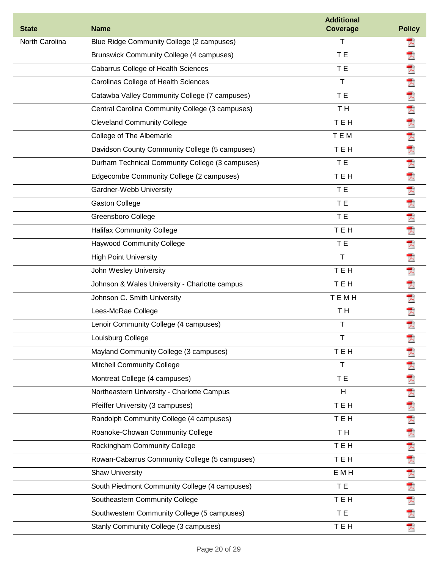| <b>State</b>   | <b>Name</b>                                     | <b>Additional</b><br><b>Coverage</b> | <b>Policy</b> |
|----------------|-------------------------------------------------|--------------------------------------|---------------|
| North Carolina | Blue Ridge Community College (2 campuses)       | т                                    |               |
|                | <b>Brunswick Community College (4 campuses)</b> | T E                                  | 굿             |
|                | <b>Cabarrus College of Health Sciences</b>      | T E                                  | 夭             |
|                | Carolinas College of Health Sciences            | T                                    | 人             |
|                | Catawba Valley Community College (7 campuses)   | T E                                  |               |
|                | Central Carolina Community College (3 campuses) | TH <sub></sub>                       |               |
|                | <b>Cleveland Community College</b>              | TEH                                  | 大大大           |
|                | College of The Albemarle                        | TEM                                  | アス            |
|                | Davidson County Community College (5 campuses)  | TEH                                  |               |
|                | Durham Technical Community College (3 campuses) | T E                                  | 犬             |
|                | Edgecombe Community College (2 campuses)        | <b>TEH</b>                           | 人             |
|                | Gardner-Webb University                         | T E                                  | 人             |
|                | <b>Gaston College</b>                           | T E                                  | 大犬            |
|                | Greensboro College                              | T E                                  |               |
|                | <b>Halifax Community College</b>                | TEH                                  |               |
|                | <b>Haywood Community College</b>                | T E                                  | 大犬            |
|                | <b>High Point University</b>                    | T                                    | 大             |
|                | John Wesley University                          | TEH                                  | 夭             |
|                | Johnson & Wales University - Charlotte campus   | <b>TEH</b>                           | 人             |
|                | Johnson C. Smith University                     | <b>TEMH</b>                          | 人             |
|                | Lees-McRae College                              | T H                                  | 犬             |
|                | Lenoir Community College (4 campuses)           | T                                    | 굿             |
|                | Louisburg College                               |                                      | Ā             |
|                | Mayland Community College (3 campuses)          | TEH                                  |               |
|                | <b>Mitchell Community College</b>               | T                                    |               |
|                | Montreat College (4 campuses)                   | T E                                  |               |
|                | Northeastern University - Charlotte Campus      | Н                                    | 凶凶凶凶凶凶凶       |
|                | Pfeiffer University (3 campuses)                | <b>TEH</b>                           |               |
|                | Randolph Community College (4 campuses)         | TEH                                  |               |
|                | Roanoke-Chowan Community College                | T H                                  |               |
|                | Rockingham Community College                    | TEH                                  |               |
|                | Rowan-Cabarrus Community College (5 campuses)   | TEH                                  |               |
|                | <b>Shaw University</b>                          | E M H                                |               |
|                | South Piedmont Community College (4 campuses)   | T E                                  |               |
|                | Southeastern Community College                  | TEH                                  | 医大大大人         |
|                | Southwestern Community College (5 campuses)     | T E                                  |               |
|                | Stanly Community College (3 campuses)           | TEH                                  |               |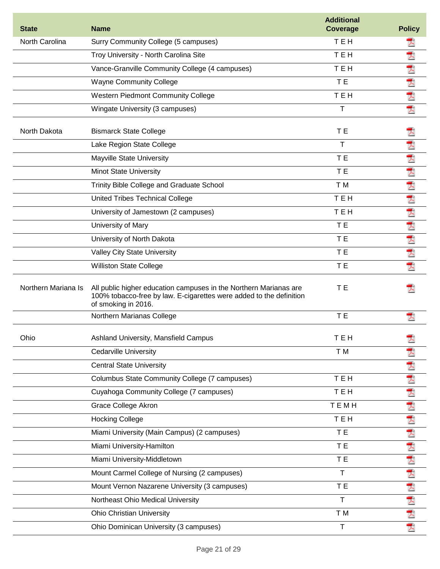| <b>State</b>        | <b>Name</b>                                                                                                                                                     | <b>Additional</b><br><b>Coverage</b> | <b>Policy</b> |
|---------------------|-----------------------------------------------------------------------------------------------------------------------------------------------------------------|--------------------------------------|---------------|
| North Carolina      | Surry Community College (5 campuses)                                                                                                                            | <b>TEH</b>                           | ᄎ             |
|                     | Troy University - North Carolina Site                                                                                                                           | <b>TEH</b>                           | 犬             |
|                     | Vance-Granville Community College (4 campuses)                                                                                                                  | <b>TEH</b>                           | 犬             |
|                     | <b>Wayne Community College</b>                                                                                                                                  | T E                                  | 犬             |
|                     | <b>Western Piedmont Community College</b>                                                                                                                       | TEH                                  | 犬             |
|                     | Wingate University (3 campuses)                                                                                                                                 | $\mathsf{T}$                         | 쿳             |
| North Dakota        | <b>Bismarck State College</b>                                                                                                                                   | T E                                  | y             |
|                     | Lake Region State College                                                                                                                                       | Τ                                    | 人             |
|                     | Mayville State University                                                                                                                                       | T E                                  | 쿳             |
|                     | <b>Minot State University</b>                                                                                                                                   | T E                                  | 犬             |
|                     | Trinity Bible College and Graduate School                                                                                                                       | T M                                  | 凤             |
|                     | United Tribes Technical College                                                                                                                                 | TEH                                  | 人             |
|                     | University of Jamestown (2 campuses)                                                                                                                            | TEH                                  | 人             |
|                     | University of Mary                                                                                                                                              | T E                                  | 犬             |
|                     | University of North Dakota                                                                                                                                      | T E                                  | 大犬            |
|                     | <b>Valley City State University</b>                                                                                                                             | T E                                  |               |
|                     | <b>Williston State College</b>                                                                                                                                  | T E                                  | 굿             |
| Northern Mariana Is | All public higher education campuses in the Northern Marianas are<br>100% tobacco-free by law. E-cigarettes were added to the definition<br>of smoking in 2016. | T E                                  |               |
|                     | Northern Marianas College                                                                                                                                       | T E                                  |               |
| Ohio                | Ashland University, Mansfield Campus                                                                                                                            | TEH                                  | Ā             |
|                     | <b>Cedarville University</b>                                                                                                                                    | T M                                  | 굿             |
|                     | <b>Central State University</b>                                                                                                                                 |                                      | プ             |
|                     | Columbus State Community College (7 campuses)                                                                                                                   | TEH                                  | 犬             |
|                     | Cuyahoga Community College (7 campuses)                                                                                                                         | TEH                                  | 人             |
|                     | Grace College Akron                                                                                                                                             | <b>TEMH</b>                          | 夭             |
|                     | <b>Hocking College</b>                                                                                                                                          | TEH                                  |               |
|                     | Miami University (Main Campus) (2 campuses)                                                                                                                     | T E                                  | 大丈夫           |
|                     | Miami University-Hamilton                                                                                                                                       | T <sub>E</sub>                       |               |
|                     | Miami University-Middletown                                                                                                                                     | TE.                                  | 大犬            |
|                     | Mount Carmel College of Nursing (2 campuses)                                                                                                                    | T                                    |               |
|                     | Mount Vernon Nazarene University (3 campuses)                                                                                                                   | T E                                  |               |
|                     | Northeast Ohio Medical University                                                                                                                               | T                                    |               |
|                     | <b>Ohio Christian University</b>                                                                                                                                | T M                                  | 法大大人          |
|                     | Ohio Dominican University (3 campuses)                                                                                                                          | $\mathsf{T}$                         |               |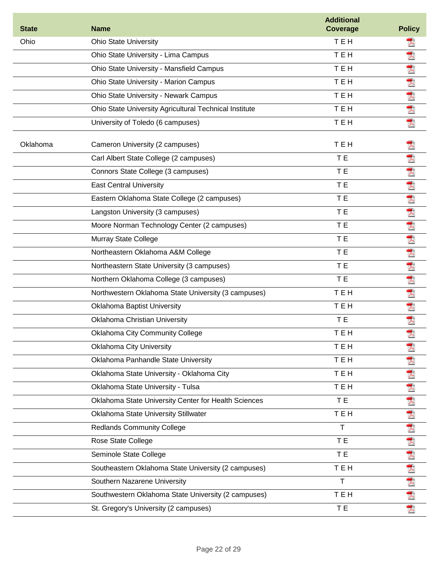| <b>State</b> | <b>Name</b>                                            | <b>Additional</b><br><b>Coverage</b> | <b>Policy</b>        |
|--------------|--------------------------------------------------------|--------------------------------------|----------------------|
| Ohio         | <b>Ohio State University</b>                           | TEH                                  | 겨                    |
|              | Ohio State University - Lima Campus                    | TEH                                  | 犬                    |
|              | Ohio State University - Mansfield Campus               | <b>TEH</b>                           | 人                    |
|              | Ohio State University - Marion Campus                  | <b>TEH</b>                           | 犬                    |
|              | <b>Ohio State University - Newark Campus</b>           | TEH                                  | $\overline{\lambda}$ |
|              | Ohio State University Agricultural Technical Institute | TEH                                  | 犬                    |
|              | University of Toledo (6 campuses)                      | TEH                                  | 퀏                    |
| Oklahoma     | Cameron University (2 campuses)                        | TEH                                  | 츠                    |
|              | Carl Albert State College (2 campuses)                 | T E                                  | 굿                    |
|              | Connors State College (3 campuses)                     | T E                                  | 犬                    |
|              | <b>East Central University</b>                         | T E                                  | 犬                    |
|              | Eastern Oklahoma State College (2 campuses)            | T E                                  | 犬                    |
|              | Langston University (3 campuses)                       | T E                                  | 夭                    |
|              | Moore Norman Technology Center (2 campuses)            | T E                                  | 犬                    |
|              | Murray State College                                   | T E                                  | 犬                    |
|              | Northeastern Oklahoma A&M College                      | T E                                  | 犬                    |
|              | Northeastern State University (3 campuses)             | T E                                  | 犬                    |
|              | Northern Oklahoma College (3 campuses)                 | T E                                  | 人                    |
|              | Northwestern Oklahoma State University (3 campuses)    | <b>TEH</b>                           | 쿳                    |
|              | Oklahoma Baptist University                            | <b>TEH</b>                           | 犬                    |
|              | Oklahoma Christian University                          | T E                                  | 人                    |
|              | Oklahoma City Community College                        | TEH                                  | ₹                    |
|              | <b>Oklahoma City University</b>                        | TEH                                  | 굿                    |
|              | Oklahoma Panhandle State University                    | TEH                                  | 굿                    |
|              | Oklahoma State University - Oklahoma City              | TEH                                  | 귯                    |
|              | Oklahoma State University - Tulsa                      | TEH                                  | 人                    |
|              | Oklahoma State University Center for Health Sciences   | T E                                  | Ā                    |
|              | Oklahoma State University Stillwater                   | TEH                                  | 大                    |
|              | <b>Redlands Community College</b>                      | T                                    | 人                    |
|              | Rose State College                                     | T E                                  | 凤                    |
|              | Seminole State College                                 | T E                                  | 人                    |
|              | Southeastern Oklahoma State University (2 campuses)    | TEH                                  |                      |
|              | Southern Nazarene University                           | T                                    | 大犬                   |
|              | Southwestern Oklahoma State University (2 campuses)    | TEH                                  | $\overline{\lambda}$ |
|              | St. Gregory's University (2 campuses)                  | T E                                  | 겨                    |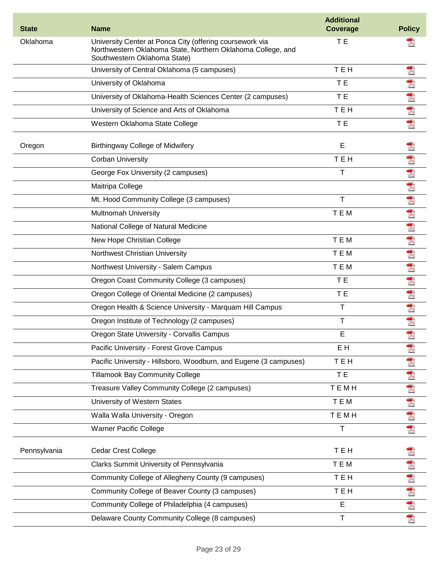| <b>State</b> | <b>Name</b>                                                                                                                                             | <b>Additional</b><br><b>Coverage</b> | <b>Policy</b> |
|--------------|---------------------------------------------------------------------------------------------------------------------------------------------------------|--------------------------------------|---------------|
| Oklahoma     | University Center at Ponca City (offering coursework via<br>Northwestern Oklahoma State, Northern Oklahoma College, and<br>Southwestern Oklahoma State) | T E                                  |               |
|              | University of Central Oklahoma (5 campuses)                                                                                                             | <b>TEH</b>                           | 퀏             |
|              | University of Oklahoma                                                                                                                                  | T E                                  | T)            |
|              | University of Oklahoma-Health Sciences Center (2 campuses)                                                                                              | T E                                  | 凤             |
|              | University of Science and Arts of Oklahoma                                                                                                              | TEH                                  | 凤             |
|              | Western Oklahoma State College                                                                                                                          | T E                                  | 쿳             |
| Oregon       | <b>Birthingway College of Midwifery</b>                                                                                                                 | E                                    |               |
|              | <b>Corban University</b>                                                                                                                                | TEH                                  | T)            |
|              | George Fox University (2 campuses)                                                                                                                      | T                                    | 쿳             |
|              | Maitripa College                                                                                                                                        |                                      |               |
|              | Mt. Hood Community College (3 campuses)                                                                                                                 | Τ                                    | 大犬            |
|              | <b>Multnomah University</b>                                                                                                                             | TEM                                  | ₹             |
|              | National College of Natural Medicine                                                                                                                    |                                      | Ā             |
|              | New Hope Christian College                                                                                                                              | TEM                                  | Ā             |
|              | Northwest Christian University                                                                                                                          | TEM                                  | 人             |
|              | Northwest University - Salem Campus                                                                                                                     | TEM                                  | 大             |
|              | Oregon Coast Community College (3 campuses)                                                                                                             | T E                                  | 쿳             |
|              | Oregon College of Oriental Medicine (2 campuses)                                                                                                        | T E                                  | 犬             |
|              | Oregon Health & Science University - Marquam Hill Campus                                                                                                | Τ                                    | 犬             |
|              | Oregon Institute of Technology (2 campuses)                                                                                                             | т                                    | 쿳             |
|              | Oregon State University - Corvallis Campus                                                                                                              | Е                                    | $\sqrt{2}$    |
|              | Pacific University - Forest Grove Campus                                                                                                                | E H                                  | 굿             |
|              | Pacific University - Hillsboro, Woodburn, and Eugene (3 campuses)                                                                                       | TEH                                  | 겨             |
|              | <b>Tillamook Bay Community College</b>                                                                                                                  | T E                                  | 人             |
|              | Treasure Valley Community College (2 campuses)                                                                                                          | <b>TEMH</b>                          |               |
|              | University of Western States                                                                                                                            | T E M                                | 大丈夫           |
|              | Walla Walla University - Oregon                                                                                                                         | TEMH                                 |               |
|              | <b>Warner Pacific College</b>                                                                                                                           | Т                                    | 쿳             |
| Pennsylvania | <b>Cedar Crest College</b>                                                                                                                              | TEH                                  |               |
|              | Clarks Summit University of Pennsylvania                                                                                                                | T E M                                | 굿             |
|              | Community College of Allegheny County (9 campuses)                                                                                                      | TEH                                  | Ā             |
|              | Community College of Beaver County (3 campuses)                                                                                                         | TEH                                  | 大犬            |
|              | Community College of Philadelphia (4 campuses)                                                                                                          | E                                    |               |
|              | Delaware County Community College (8 campuses)                                                                                                          | $\sf T$                              | 궛             |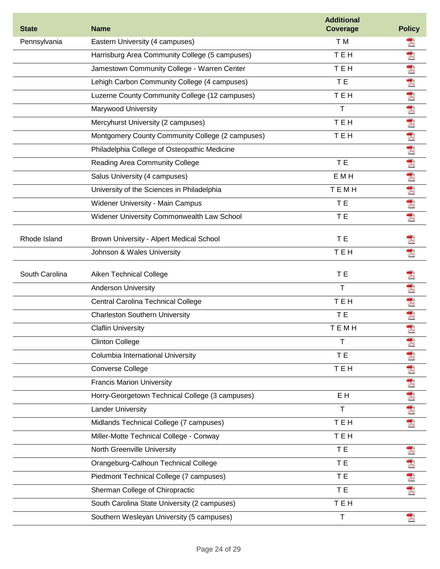| <b>State</b>   | <b>Name</b>                                      | <b>Additional</b><br><b>Coverage</b> | <b>Policy</b> |
|----------------|--------------------------------------------------|--------------------------------------|---------------|
| Pennsylvania   | Eastern University (4 campuses)                  | T M                                  | ᄎ             |
|                | Harrisburg Area Community College (5 campuses)   | TEH                                  | 굿             |
|                | Jamestown Community College - Warren Center      | <b>TEH</b>                           | A             |
|                | Lehigh Carbon Community College (4 campuses)     | T E                                  |               |
|                | Luzerne County Community College (12 campuses)   | <b>TEH</b>                           | 因为因为因为        |
|                | Marywood University                              | $\mathsf{T}$                         |               |
|                | Mercyhurst University (2 campuses)               | TEH                                  |               |
|                | Montgomery County Community College (2 campuses) | TEH                                  |               |
|                | Philadelphia College of Osteopathic Medicine     |                                      |               |
|                | Reading Area Community College                   | T E                                  |               |
|                | Salus University (4 campuses)                    | E M H                                | 人名人人人         |
|                | University of the Sciences in Philadelphia       | TEMH                                 |               |
|                | Widener University - Main Campus                 | T <sub>E</sub>                       |               |
|                | Widener University Commonwealth Law School       | T E                                  |               |
| Rhode Island   | Brown University - Alpert Medical School         | T <sub>E</sub>                       |               |
|                | Johnson & Wales University                       | TEH                                  |               |
|                |                                                  |                                      |               |
| South Carolina | Aiken Technical College                          | T E                                  |               |
|                | Anderson University                              | $\mathsf{T}$                         | 쿳             |
|                | Central Carolina Technical College               | TEH                                  | 大犬            |
|                | <b>Charleston Southern University</b>            | T E                                  |               |
|                | <b>Claflin University</b>                        | <b>TEMH</b>                          | 쿳             |
|                | <b>Clinton College</b>                           | т                                    | 즈             |
|                | Columbia International University                | T E                                  | 겨             |
|                | Converse College                                 | TEH                                  | 人             |
|                | <b>Francis Marion University</b>                 |                                      | 大丈夫           |
|                | Horry-Georgetown Technical College (3 campuses)  | E H                                  |               |
|                | <b>Lander University</b>                         | $\mathsf{T}$                         |               |
|                | Midlands Technical College (7 campuses)          | TEH                                  | 귯             |
|                | Miller-Motte Technical College - Conway          | TEH                                  |               |
|                | North Greenville University                      | T E                                  | Ā             |
|                | Orangeburg-Calhoun Technical College             | T E                                  | 쿳             |
|                | Piedmont Technical College (7 campuses)          | T E                                  | Ā             |
|                | Sherman College of Chiropractic                  | T E                                  |               |
|                | South Carolina State University (2 campuses)     | TEH                                  |               |
|                | Southern Wesleyan University (5 campuses)        | $\mathsf{T}$                         |               |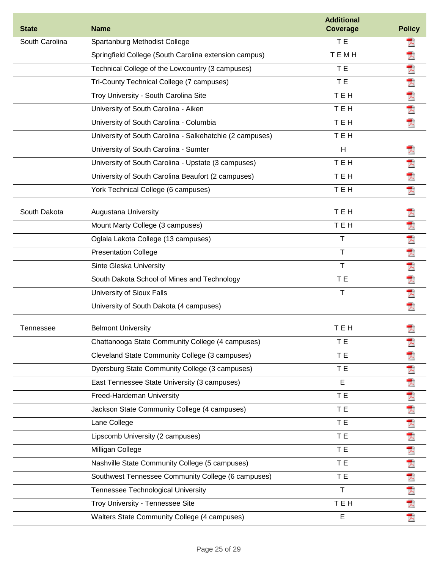| <b>State</b>     | <b>Name</b>                                              | <b>Additional</b><br><b>Coverage</b> | <b>Policy</b> |
|------------------|----------------------------------------------------------|--------------------------------------|---------------|
| South Carolina   | Spartanburg Methodist College                            | T E                                  |               |
|                  | Springfield College (South Carolina extension campus)    | TEMH                                 | 굿             |
|                  | Technical College of the Lowcountry (3 campuses)         | T E                                  |               |
|                  | Tri-County Technical College (7 campuses)                | T E                                  | 内内内内          |
|                  | Troy University - South Carolina Site                    | <b>TEH</b>                           |               |
|                  | University of South Carolina - Aiken                     | TEH                                  |               |
|                  | University of South Carolina - Columbia                  | TEH                                  | 쿳             |
|                  | University of South Carolina - Salkehatchie (2 campuses) | TEH                                  |               |
|                  | University of South Carolina - Sumter                    | H                                    | 犬             |
|                  | University of South Carolina - Upstate (3 campuses)      | <b>TEH</b>                           |               |
|                  | University of South Carolina Beaufort (2 campuses)       | TEH                                  | 大犬            |
|                  | York Technical College (6 campuses)                      | TEH                                  | 쿳             |
| South Dakota     | <b>Augustana University</b>                              | TEH                                  |               |
|                  | Mount Marty College (3 campuses)                         | TEH                                  |               |
|                  | Oglala Lakota College (13 campuses)                      | Т                                    | 医大大大大大        |
|                  | <b>Presentation College</b>                              | Τ                                    |               |
|                  | Sinte Gleska University                                  | T                                    |               |
|                  | South Dakota School of Mines and Technology              | T E                                  |               |
|                  | University of Sioux Falls                                | T                                    |               |
|                  | University of South Dakota (4 campuses)                  |                                      | 쿳             |
| <b>Tennessee</b> | <b>Belmont University</b>                                | TEH                                  |               |
|                  | Chattanooga State Community College (4 campuses)         | T E                                  | 겨             |
|                  | Cleveland State Community College (3 campuses)           | T E                                  | 겨             |
|                  | Dyersburg State Community College (3 campuses)           | T E                                  | 人             |
|                  | East Tennessee State University (3 campuses)             | E                                    | 人             |
|                  | Freed-Hardeman University                                | T E                                  | 凤             |
|                  | Jackson State Community College (4 campuses)             | T E                                  | 夭             |
|                  | Lane College                                             | T E                                  | 大犬            |
|                  | Lipscomb University (2 campuses)                         | T E                                  |               |
|                  | Milligan College                                         | T E                                  |               |
|                  | Nashville State Community College (5 campuses)           | T E                                  |               |
|                  | Southwest Tennessee Community College (6 campuses)       | T E                                  | 医犬犬犬犬         |
|                  | Tennessee Technological University                       | T                                    |               |
|                  | Troy University - Tennessee Site                         | TEH                                  |               |
|                  | Walters State Community College (4 campuses)             | E                                    | 犬             |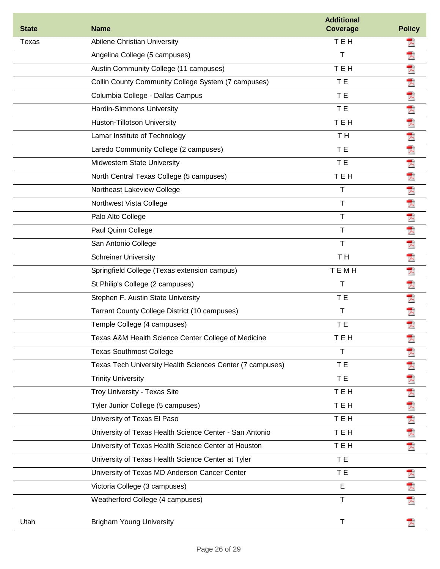| <b>State</b> | <b>Name</b>                                               | <b>Additional</b><br><b>Coverage</b> | <b>Policy</b> |
|--------------|-----------------------------------------------------------|--------------------------------------|---------------|
| Texas        | Abilene Christian University                              | TEH                                  | Ā             |
|              | Angelina College (5 campuses)                             | т                                    | 굿             |
|              | Austin Community College (11 campuses)                    | TEH                                  | 犬             |
|              | Collin County Community College System (7 campuses)       | T E                                  | 大             |
|              | Columbia College - Dallas Campus                          | T E                                  | 凤             |
|              | Hardin-Simmons University                                 | T E                                  | 犬             |
|              | Huston-Tillotson University                               | TEH                                  | 犬             |
|              | Lamar Institute of Technology                             | T H                                  | 凤             |
|              | Laredo Community College (2 campuses)                     | T E                                  | 大             |
|              | <b>Midwestern State University</b>                        | T E                                  | 大             |
|              | North Central Texas College (5 campuses)                  | TEH                                  | 굿             |
|              | Northeast Lakeview College                                | т                                    | 大             |
|              | Northwest Vista College                                   | T.                                   | 入             |
|              | Palo Alto College                                         | Τ                                    | 凤             |
|              | Paul Quinn College                                        | Τ                                    | 굿             |
|              | San Antonio College                                       | т                                    | 犬             |
|              | <b>Schreiner University</b>                               | TH <sub></sub>                       | 굿             |
|              | Springfield College (Texas extension campus)              | <b>TEMH</b>                          | 쿳             |
|              | St Philip's College (2 campuses)                          | т                                    | 굿             |
|              | Stephen F. Austin State University                        | T <sub>E</sub>                       | 것             |
|              | Tarrant County College District (10 campuses)             | T.                                   | 굿             |
|              | Temple College (4 campuses)                               | T E                                  | 굿             |
|              | Texas A&M Health Science Center College of Medicine       | тен                                  | Ā             |
|              | <b>Texas Southmost College</b>                            | т                                    | 겨             |
|              | Texas Tech University Health Sciences Center (7 campuses) | T E                                  | 귯             |
|              | <b>Trinity University</b>                                 | T E                                  | 犬             |
|              | Troy University - Texas Site                              | TEH                                  |               |
|              | Tyler Junior College (5 campuses)                         | TEH                                  | 大大大大          |
|              | University of Texas El Paso                               | TEH                                  |               |
|              | University of Texas Health Science Center - San Antonio   | TEH                                  |               |
|              | University of Texas Health Science Center at Houston      | TEH                                  | 겨             |
|              | University of Texas Health Science Center at Tyler        | T E                                  |               |
|              | University of Texas MD Anderson Cancer Center             | <b>TE</b>                            | 겨             |
|              | Victoria College (3 campuses)                             | E                                    | Ā             |
|              | Weatherford College (4 campuses)                          | T                                    | 人             |
| Utah         | <b>Brigham Young University</b>                           | T                                    |               |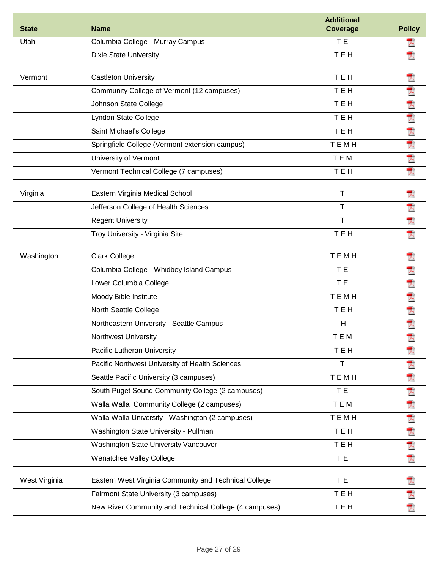| <b>State</b>  | <b>Name</b>                                            | <b>Additional</b><br><b>Coverage</b> | <b>Policy</b> |
|---------------|--------------------------------------------------------|--------------------------------------|---------------|
| Utah          | Columbia College - Murray Campus                       | T E                                  | ᄎ             |
|               | <b>Dixie State University</b>                          | <b>TEH</b>                           | ᄎ             |
| Vermont       | <b>Castleton University</b>                            | TEH                                  | y             |
|               | Community College of Vermont (12 campuses)             | <b>TEH</b>                           | 天             |
|               | Johnson State College                                  | TEH                                  | 大             |
|               | Lyndon State College                                   | TEH                                  | 凤             |
|               | Saint Michael's College                                | TEH                                  | 犬             |
|               | Springfield College (Vermont extension campus)         | TEMH                                 |               |
|               | University of Vermont                                  | TEM                                  | 大犬            |
|               | Vermont Technical College (7 campuses)                 | TEH                                  | 귯             |
| Virginia      | Eastern Virginia Medical School                        | T                                    | Ā             |
|               | Jefferson College of Health Sciences                   | T                                    |               |
|               | <b>Regent University</b>                               | T                                    | 大犬            |
|               | Troy University - Virginia Site                        | TEH                                  | 쿳             |
| Washington    | <b>Clark College</b>                                   | TEMH                                 | Ā             |
|               | Columbia College - Whidbey Island Campus               | T E                                  | 굿             |
|               | Lower Columbia College                                 | T E                                  | 犬             |
|               | Moody Bible Institute                                  | TEMH                                 | 犬             |
|               | North Seattle College                                  | TEH                                  | 人             |
|               | Northeastern University - Seattle Campus               | H                                    | 犬             |
|               | Northwest University                                   | TEM                                  | 犬             |
|               | Pacific Lutheran University                            | TEH                                  | Ā             |
|               | Pacific Northwest University of Health Sciences        | $\mathsf T$                          |               |
|               | Seattle Pacific University (3 campuses)                | TEMH                                 | 大犬            |
|               | South Puget Sound Community College (2 campuses)       | T E                                  | 犬             |
|               | Walla Walla Community College (2 campuses)             | TEM                                  | 人             |
|               | Walla Walla University - Washington (2 campuses)       | TEMH                                 |               |
|               | Washington State University - Pullman                  | <b>TEH</b>                           | 大大大大          |
|               | Washington State University Vancouver                  | TEH                                  |               |
|               | Wenatchee Valley College                               | T E                                  |               |
| West Virginia | Eastern West Virginia Community and Technical College  | T E                                  |               |
|               | Fairmont State University (3 campuses)                 | TEH                                  | 大犬            |
|               | New River Community and Technical College (4 campuses) | TEH                                  |               |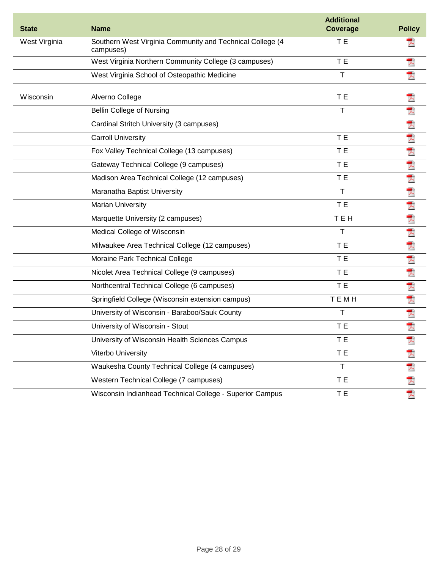| <b>State</b>  | <b>Name</b>                                                            | <b>Additional</b><br>Coverage | <b>Policy</b> |
|---------------|------------------------------------------------------------------------|-------------------------------|---------------|
| West Virginia | Southern West Virginia Community and Technical College (4<br>campuses) | T E                           |               |
|               | West Virginia Northern Community College (3 campuses)                  | T E                           | 겨             |
|               | West Virginia School of Osteopathic Medicine                           | $\mathsf T$                   | 굿             |
| Wisconsin     | Alverno College                                                        | T E                           |               |
|               | <b>Bellin College of Nursing</b>                                       | T                             | 人             |
|               | Cardinal Stritch University (3 campuses)                               |                               | 大犬            |
|               | <b>Carroll University</b>                                              | T E                           |               |
|               | Fox Valley Technical College (13 campuses)                             | T E                           | 凤             |
|               | Gateway Technical College (9 campuses)                                 | T E                           | 凤             |
|               | Madison Area Technical College (12 campuses)                           | T E                           | 人             |
|               | Maranatha Baptist University                                           | $\mathsf{T}$                  | 天             |
|               | <b>Marian University</b>                                               | T E                           | 犬             |
|               | Marquette University (2 campuses)                                      | TEH                           | ₹             |
|               | Medical College of Wisconsin                                           | T                             | 犬             |
|               | Milwaukee Area Technical College (12 campuses)                         | T E                           | 犬             |
|               | Moraine Park Technical College                                         | T E                           | 犬             |
|               | Nicolet Area Technical College (9 campuses)                            | T E                           | 굿             |
|               | Northcentral Technical College (6 campuses)                            | T E                           | 犬             |
|               | Springfield College (Wisconsin extension campus)                       | TEMH                          | 쿳             |
|               | University of Wisconsin - Baraboo/Sauk County                          | Τ                             | 人             |
|               | University of Wisconsin - Stout                                        | T E                           | 굿             |
|               | University of Wisconsin Health Sciences Campus                         | T E                           |               |
|               | Viterbo University                                                     | T E                           | Ā             |
|               | Waukesha County Technical College (4 campuses)                         | $\mathsf T$                   | 人             |
|               | Western Technical College (7 campuses)                                 | T E                           | 大犬            |
|               | Wisconsin Indianhead Technical College - Superior Campus               | T E                           |               |